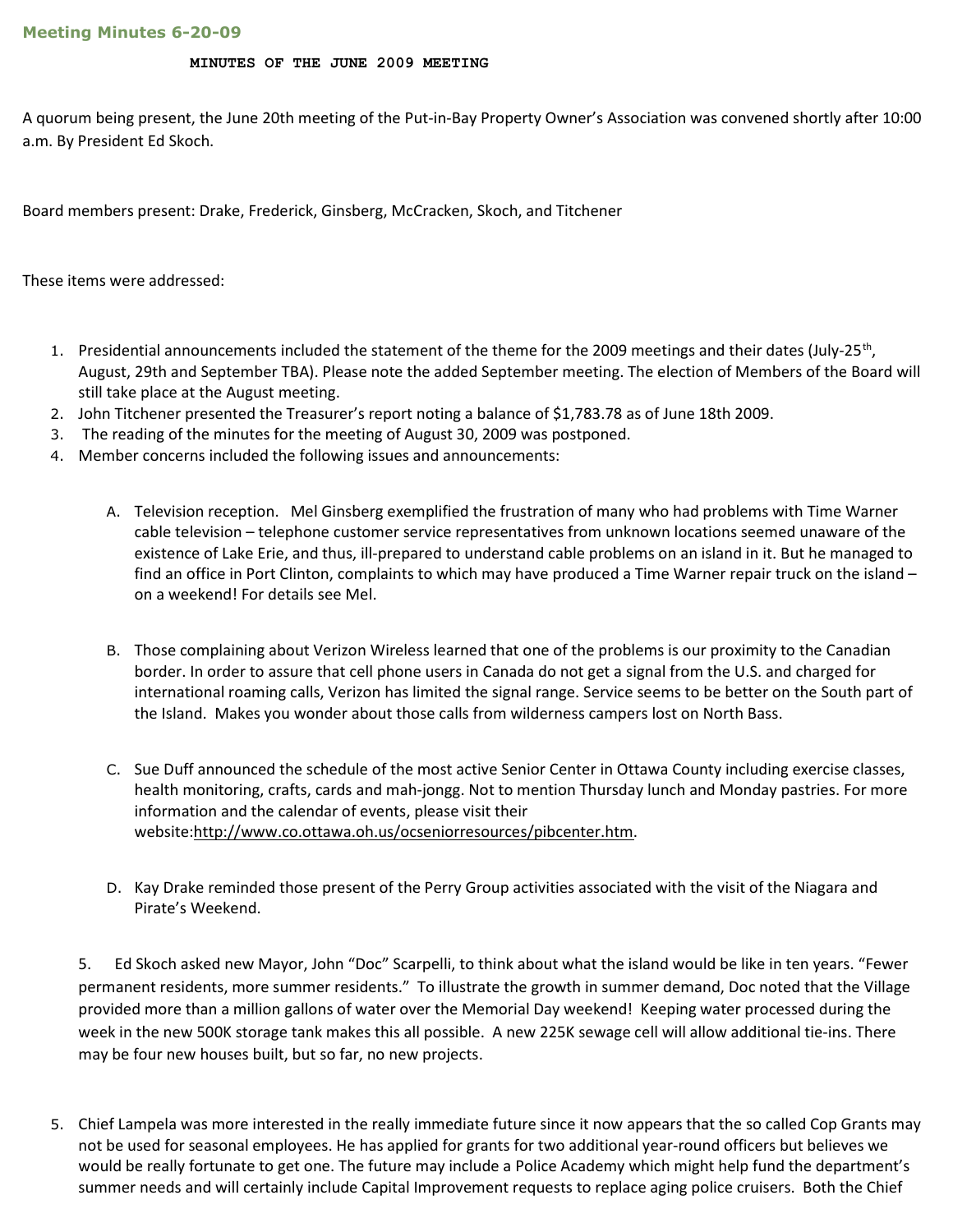#### MINUTES OF THE JUNE 2009 MEETING

A quorum being present, the June 20th meeting of the Put-in-Bay Property Owner's Association was convened shortly after 10:00 a.m. By President Ed Skoch.

Board members present: Drake, Frederick, Ginsberg, McCracken, Skoch, and Titchener

These items were addressed:

- 1. Presidential announcements included the statement of the theme for the 2009 meetings and their dates (July-25<sup>th</sup>, August, 29th and September TBA). Please note the added September meeting. The election of Members of the Board will still take place at the August meeting.
- 2. John Titchener presented the Treasurer's report noting a balance of \$1,783.78 as of June 18th 2009.
- 3. The reading of the minutes for the meeting of August 30, 2009 was postponed.
- 4. Member concerns included the following issues and announcements:
	- A. Television reception. Mel Ginsberg exemplified the frustration of many who had problems with Time Warner cable television – telephone customer service representatives from unknown locations seemed unaware of the existence of Lake Erie, and thus, ill-prepared to understand cable problems on an island in it. But he managed to find an office in Port Clinton, complaints to which may have produced a Time Warner repair truck on the island – on a weekend! For details see Mel.
	- B. Those complaining about Verizon Wireless learned that one of the problems is our proximity to the Canadian border. In order to assure that cell phone users in Canada do not get a signal from the U.S. and charged for international roaming calls, Verizon has limited the signal range. Service seems to be better on the South part of the Island. Makes you wonder about those calls from wilderness campers lost on North Bass.
	- C. Sue Duff announced the schedule of the most active Senior Center in Ottawa County including exercise classes, health monitoring, crafts, cards and mah-jongg. Not to mention Thursday lunch and Monday pastries. For more information and the calendar of events, please visit their website:http://www.co.ottawa.oh.us/ocseniorresources/pibcenter.htm.
	- D. Kay Drake reminded those present of the Perry Group activities associated with the visit of the Niagara and Pirate's Weekend.

5. Ed Skoch asked new Mayor, John "Doc" Scarpelli, to think about what the island would be like in ten years. "Fewer permanent residents, more summer residents." To illustrate the growth in summer demand, Doc noted that the Village provided more than a million gallons of water over the Memorial Day weekend! Keeping water processed during the week in the new 500K storage tank makes this all possible. A new 225K sewage cell will allow additional tie-ins. There may be four new houses built, but so far, no new projects.

5. Chief Lampela was more interested in the really immediate future since it now appears that the so called Cop Grants may not be used for seasonal employees. He has applied for grants for two additional year-round officers but believes we would be really fortunate to get one. The future may include a Police Academy which might help fund the department's summer needs and will certainly include Capital Improvement requests to replace aging police cruisers. Both the Chief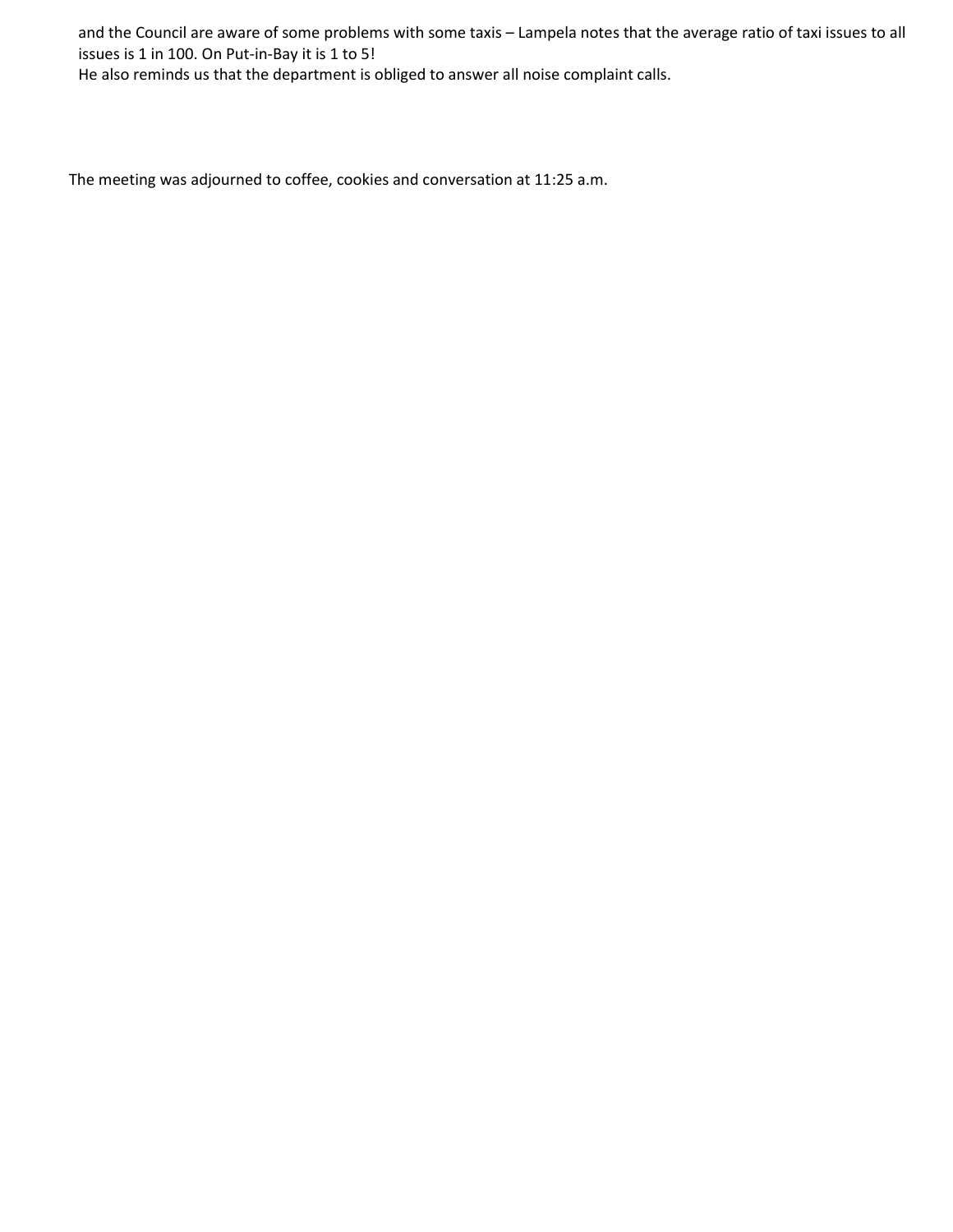and the Council are aware of some problems with some taxis – Lampela notes that the average ratio of taxi issues to all issues is 1 in 100. On Put-in-Bay it is 1 to 5!

He also reminds us that the department is obliged to answer all noise complaint calls.

The meeting was adjourned to coffee, cookies and conversation at 11:25 a.m.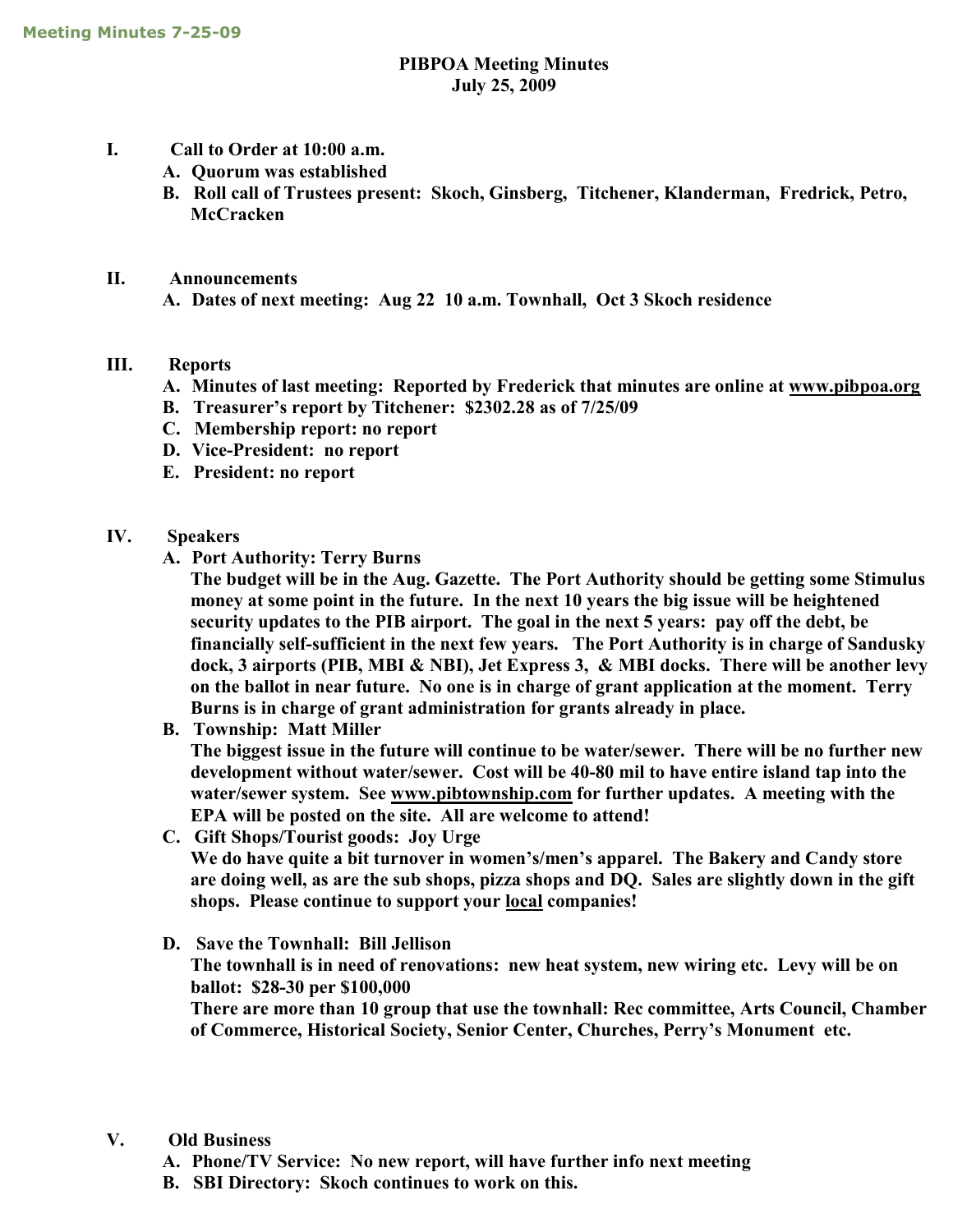### PIBPOA Meeting Minutes July 25, 2009

- I. Call to Order at 10:00 a.m.
	- A. Quorum was established
	- B. Roll call of Trustees present: Skoch, Ginsberg, Titchener, Klanderman, Fredrick, Petro, **McCracken**
- II. Announcements

A. Dates of next meeting: Aug 22 10 a.m. Townhall, Oct 3 Skoch residence

### III. Reports

- A. Minutes of last meeting: Reported by Frederick that minutes are online at www.pibpoa.org
- B. Treasurer's report by Titchener: \$2302.28 as of 7/25/09
- C. Membership report: no report
- D. Vice-President: no report
- E. President: no report
- IV. Speakers
	- A. Port Authority: Terry Burns

The budget will be in the Aug. Gazette. The Port Authority should be getting some Stimulus money at some point in the future. In the next 10 years the big issue will be heightened security updates to the PIB airport. The goal in the next 5 years: pay off the debt, be financially self-sufficient in the next few years. The Port Authority is in charge of Sandusky dock, 3 airports (PIB, MBI & NBI), Jet Express 3, & MBI docks. There will be another levy on the ballot in near future. No one is in charge of grant application at the moment. Terry Burns is in charge of grant administration for grants already in place.

B. Township: Matt Miller

The biggest issue in the future will continue to be water/sewer. There will be no further new development without water/sewer. Cost will be 40-80 mil to have entire island tap into the water/sewer system. See www.pibtownship.com for further updates. A meeting with the EPA will be posted on the site. All are welcome to attend!

- C. Gift Shops/Tourist goods: Joy Urge We do have quite a bit turnover in women's/men's apparel. The Bakery and Candy store are doing well, as are the sub shops, pizza shops and DQ. Sales are slightly down in the gift shops. Please continue to support your local companies!
- D. Save the Townhall: Bill Jellison The townhall is in need of renovations: new heat system, new wiring etc. Levy will be on ballot: \$28-30 per \$100,000 There are more than 10 group that use the townhall: Rec committee, Arts Council, Chamber of Commerce, Historical Society, Senior Center, Churches, Perry's Monument etc.

### V. Old Business

- A. Phone/TV Service: No new report, will have further info next meeting
- B. SBI Directory: Skoch continues to work on this.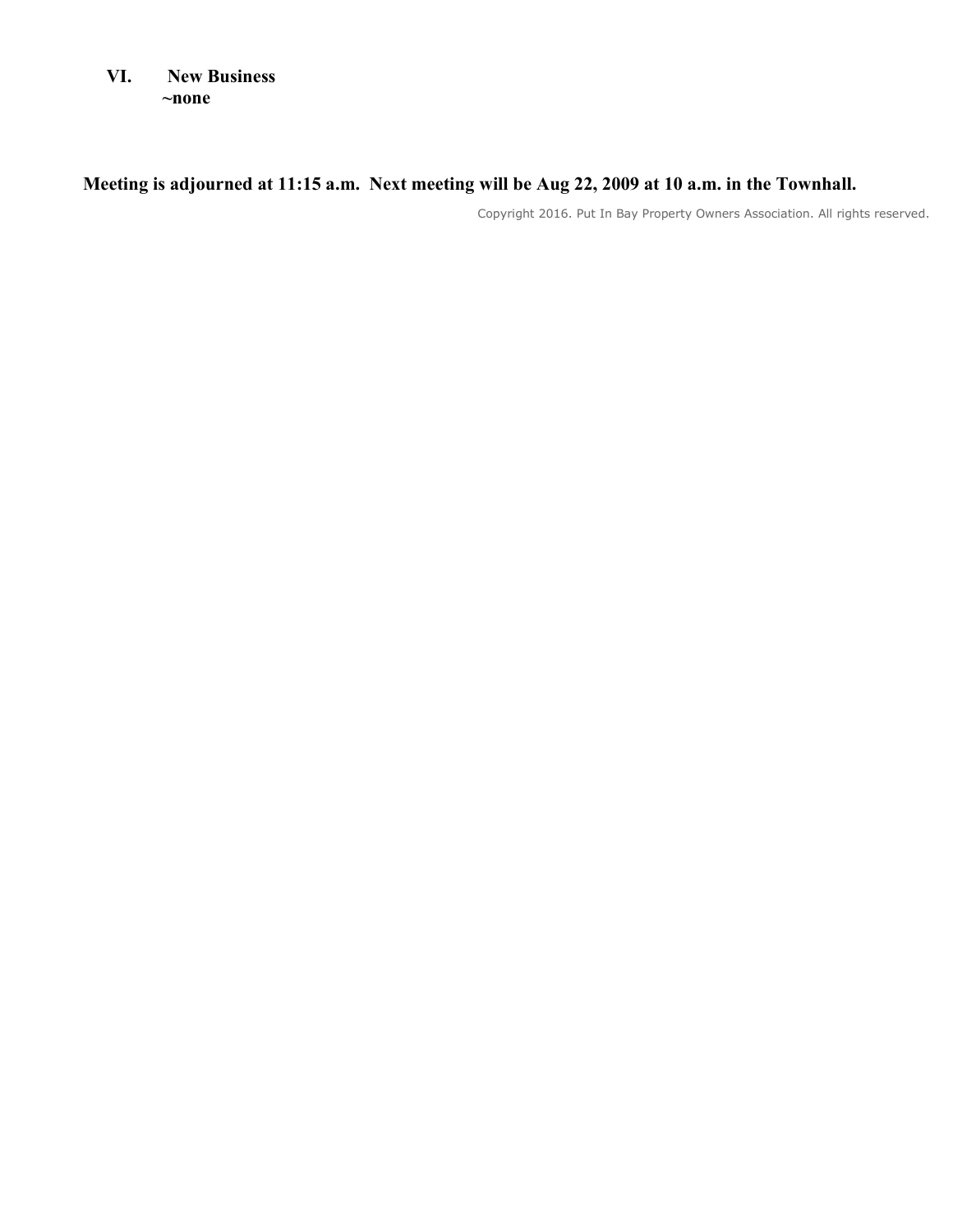VI. New Business ~none

# Meeting is adjourned at 11:15 a.m. Next meeting will be Aug 22, 2009 at 10 a.m. in the Townhall.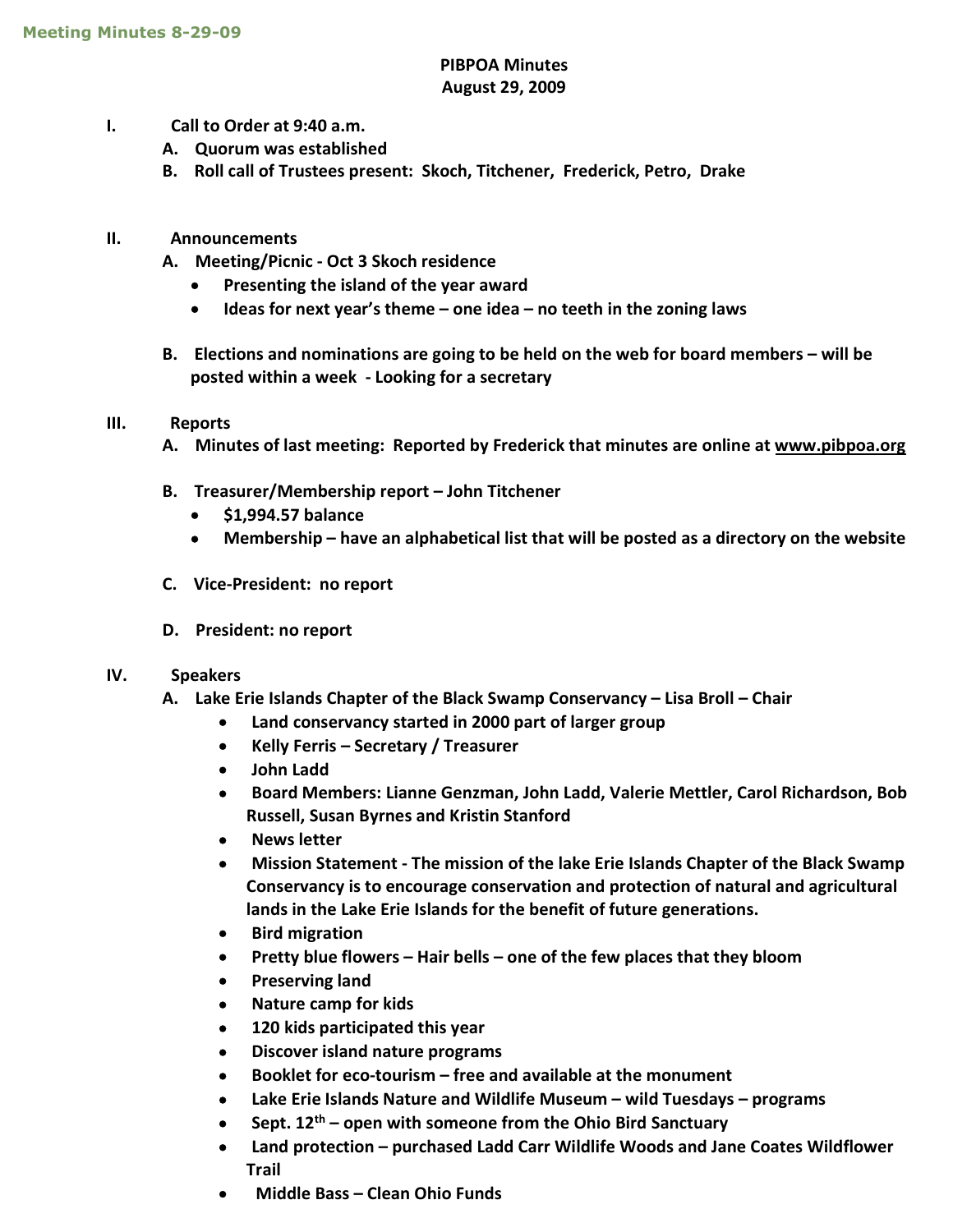### PIBPOA Minutes August 29, 2009

- I. Call to Order at 9:40 a.m.
	- A. Quorum was established
	- B. Roll call of Trustees present: Skoch, Titchener, Frederick, Petro, Drake
- II. Announcements
	- A. Meeting/Picnic Oct 3 Skoch residence
		- Presenting the island of the year award
		- $\bullet$  Ideas for next year's theme one idea no teeth in the zoning laws
	- B. Elections and nominations are going to be held on the web for board members will be posted within a week - Looking for a secretary

### III. Reports

- A. Minutes of last meeting: Reported by Frederick that minutes are online at www.pibpoa.org
- B. Treasurer/Membership report John Titchener
	- $\bullet$  \$1,994.57 balance
	- Membership have an alphabetical list that will be posted as a directory on the website
- C. Vice-President: no report
- D. President: no report

### IV. Speakers

- A. Lake Erie Islands Chapter of the Black Swamp Conservancy Lisa Broll Chair
	- Land conservancy started in 2000 part of larger group
	- Kelly Ferris Secretary / Treasurer
	- John Ladd
	- Board Members: Lianne Genzman, John Ladd, Valerie Mettler, Carol Richardson, Bob Russell, Susan Byrnes and Kristin Stanford
	- News letter
	- Mission Statement The mission of the lake Erie Islands Chapter of the Black Swamp Conservancy is to encourage conservation and protection of natural and agricultural lands in the Lake Erie Islands for the benefit of future generations.
	- **•** Bird migration
	- Pretty blue flowers Hair bells one of the few places that they bloom
	- Preserving land
	- Nature camp for kids
	- 120 kids participated this year
	- Discover island nature programs
	- Booklet for eco-tourism free and available at the monument
	- Lake Erie Islands Nature and Wildlife Museum wild Tuesdays programs
	- Sept.  $12<sup>th</sup>$  open with someone from the Ohio Bird Sanctuary
	- Land protection purchased Ladd Carr Wildlife Woods and Jane Coates Wildflower Trail
	- Middle Bass Clean Ohio Funds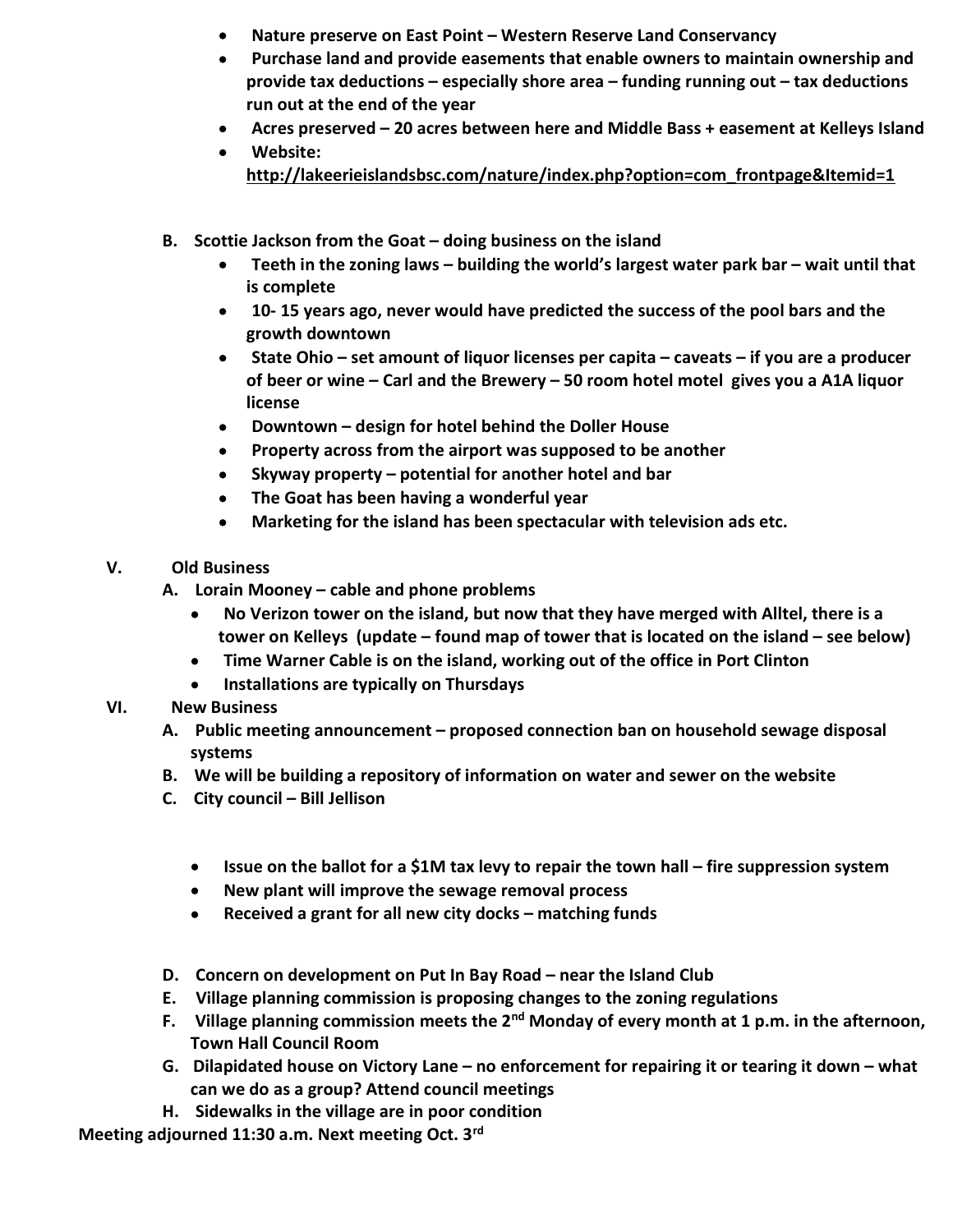- Nature preserve on East Point Western Reserve Land Conservancy
- Purchase land and provide easements that enable owners to maintain ownership and provide tax deductions – especially shore area – funding running out – tax deductions run out at the end of the year
- Acres preserved 20 acres between here and Middle Bass + easement at Kelleys Island
- Website: http://lakeerieislandsbsc.com/nature/index.php?option=com\_frontpage&Itemid=1
- B. Scottie Jackson from the Goat doing business on the island
	- Teeth in the zoning laws building the world's largest water park bar wait until that is complete
	- 10- 15 years ago, never would have predicted the success of the pool bars and the growth downtown
	- State Ohio set amount of liquor licenses per capita caveats if you are a producer of beer or wine – Carl and the Brewery – 50 room hotel motel gives you a A1A liquor license
	- Downtown design for hotel behind the Doller House
	- Property across from the airport was supposed to be another
	- Skyway property potential for another hotel and bar
	- The Goat has been having a wonderful year
	- Marketing for the island has been spectacular with television ads etc.
- V. Old Business
	- A. Lorain Mooney cable and phone problems
		- No Verizon tower on the island, but now that they have merged with Alltel, there is a tower on Kelleys (update – found map of tower that is located on the island – see below)
		- Time Warner Cable is on the island, working out of the office in Port Clinton
		- Installations are typically on Thursdays
- VI. New Business
	- A. Public meeting announcement proposed connection ban on household sewage disposal systems
	- B. We will be building a repository of information on water and sewer on the website
	- C. City council Bill Jellison
		- Issue on the ballot for a \$1M tax levy to repair the town hall fire suppression system
		- New plant will improve the sewage removal process
		- Received a grant for all new city docks matching funds
	- D. Concern on development on Put In Bay Road near the Island Club
	- E. Village planning commission is proposing changes to the zoning regulations
	- F. Village planning commission meets the  $2^{nd}$  Monday of every month at 1 p.m. in the afternoon, Town Hall Council Room
	- G. Dilapidated house on Victory Lane no enforcement for repairing it or tearing it down what can we do as a group? Attend council meetings
	- H. Sidewalks in the village are in poor condition

Meeting adjourned 11:30 a.m. Next meeting Oct. 3rd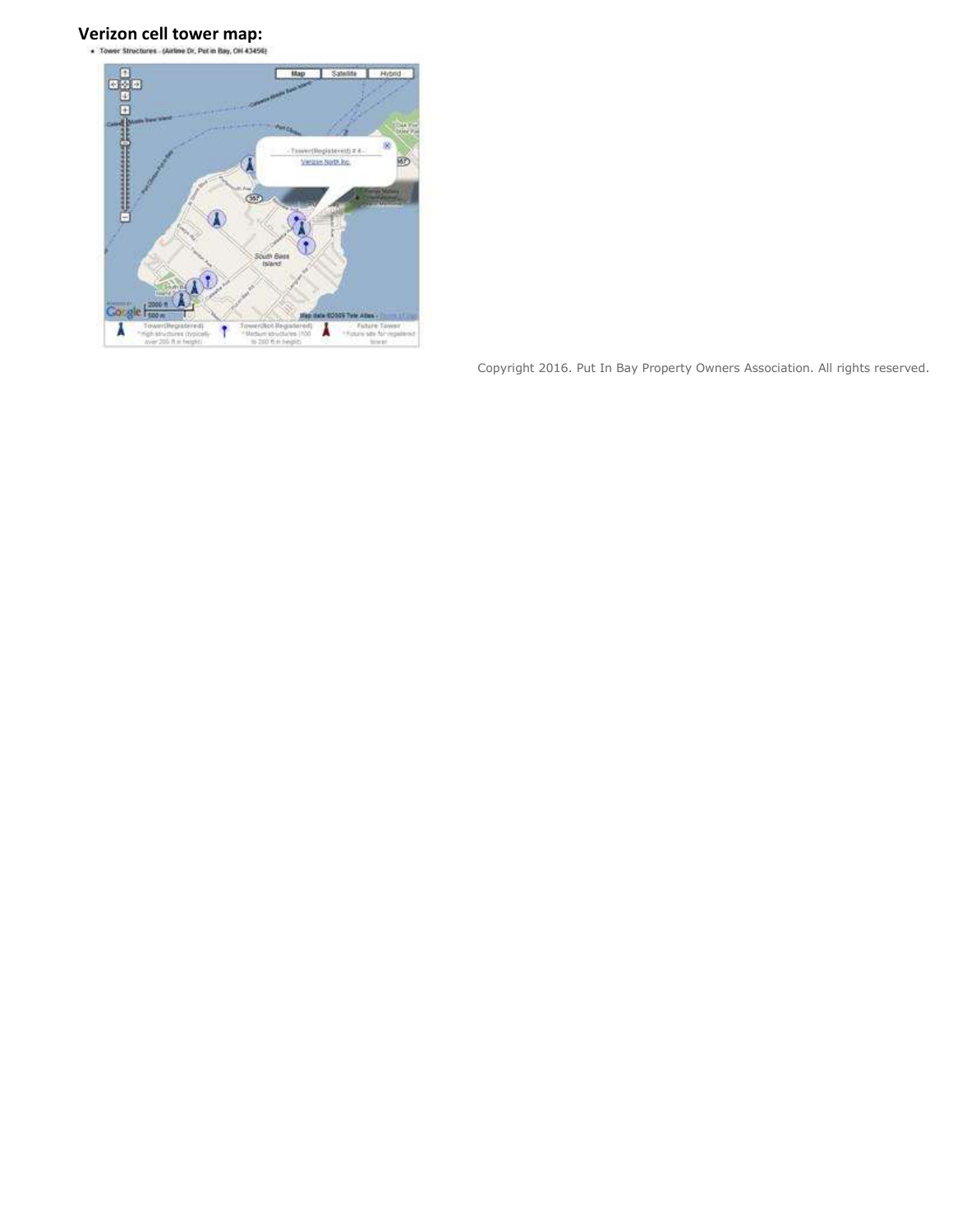# Verizon cell tower map:

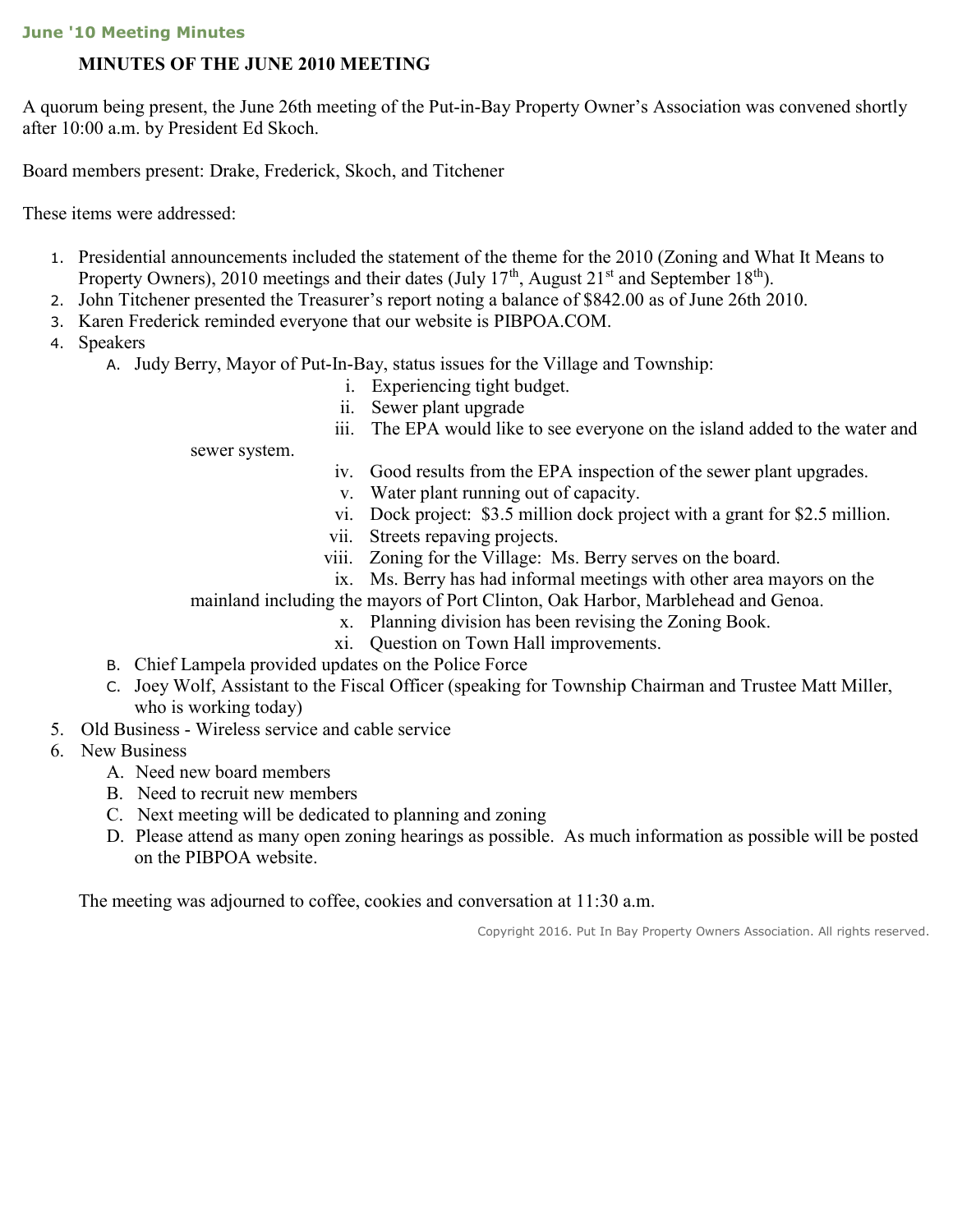### June '10 Meeting Minutes

# MINUTES OF THE JUNE 2010 MEETING

A quorum being present, the June 26th meeting of the Put-in-Bay Property Owner's Association was convened shortly after 10:00 a.m. by President Ed Skoch.

Board members present: Drake, Frederick, Skoch, and Titchener

These items were addressed:

- 1. Presidential announcements included the statement of the theme for the 2010 (Zoning and What It Means to Property Owners), 2010 meetings and their dates (July 17<sup>th</sup>, August 21<sup>st</sup> and September 18<sup>th</sup>).
- 2. John Titchener presented the Treasurer's report noting a balance of \$842.00 as of June 26th 2010.
- 3. Karen Frederick reminded everyone that our website is PIBPOA.COM.
- 4. Speakers
	- A. Judy Berry, Mayor of Put-In-Bay, status issues for the Village and Township:
		- i. Experiencing tight budget.
		- ii. Sewer plant upgrade
		- iii. The EPA would like to see everyone on the island added to the water and

sewer system.

- iv. Good results from the EPA inspection of the sewer plant upgrades.
- v. Water plant running out of capacity.
- vi. Dock project: \$3.5 million dock project with a grant for \$2.5 million.
- vii. Streets repaving projects.
- viii. Zoning for the Village: Ms. Berry serves on the board.
- ix. Ms. Berry has had informal meetings with other area mayors on the

mainland including the mayors of Port Clinton, Oak Harbor, Marblehead and Genoa.

- x. Planning division has been revising the Zoning Book.
- xi. Question on Town Hall improvements.
- B. Chief Lampela provided updates on the Police Force
- C. Joey Wolf, Assistant to the Fiscal Officer (speaking for Township Chairman and Trustee Matt Miller, who is working today)
- 5. Old Business Wireless service and cable service
- 6. New Business
	- A. Need new board members
	- B. Need to recruit new members
	- C. Next meeting will be dedicated to planning and zoning
	- D. Please attend as many open zoning hearings as possible. As much information as possible will be posted on the PIBPOA website.

The meeting was adjourned to coffee, cookies and conversation at 11:30 a.m.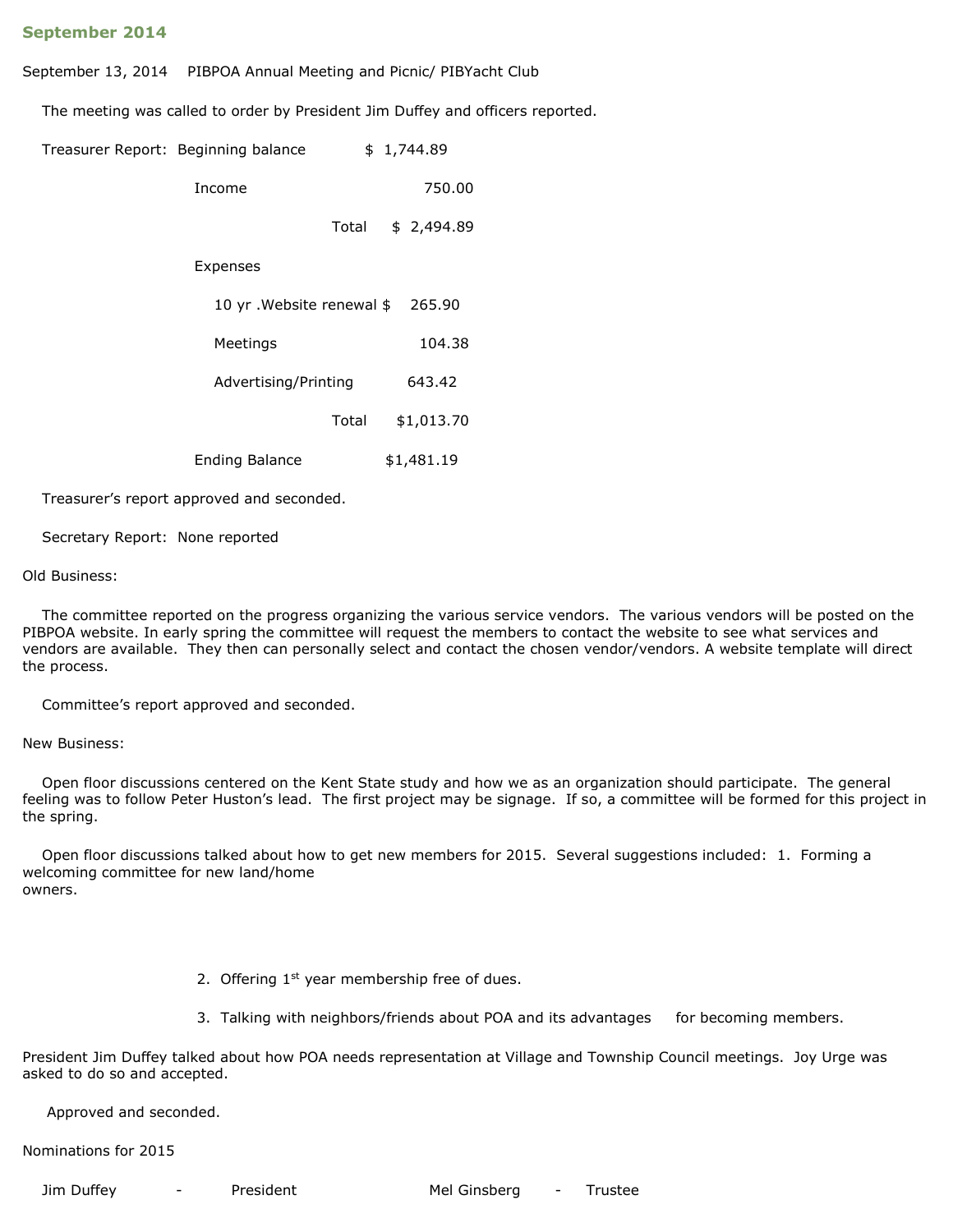#### September 2014

September 13, 2014 PIBPOA Annual Meeting and Picnic/ PIBYacht Club

The meeting was called to order by President Jim Duffey and officers reported.

|  | Treasurer Report: Beginning balance | \$1,744.89 |
|--|-------------------------------------|------------|
|--|-------------------------------------|------------|

| Income | 750.00            |
|--------|-------------------|
|        | Total \$ 2,494.89 |

#### Expenses

| 10 yr . Website renewal \$265.90 |       |            |
|----------------------------------|-------|------------|
| Meetings                         |       | 104.38     |
| Advertising/Printing             |       | 643.42     |
|                                  | Total | \$1,013.70 |
|                                  |       |            |

Ending Balance \$1,481.19

Treasurer's report approved and seconded.

Secretary Report: None reported

#### Old Business:

 The committee reported on the progress organizing the various service vendors. The various vendors will be posted on the PIBPOA website. In early spring the committee will request the members to contact the website to see what services and vendors are available. They then can personally select and contact the chosen vendor/vendors. A website template will direct the process.

Committee's report approved and seconded.

New Business:

 Open floor discussions centered on the Kent State study and how we as an organization should participate. The general feeling was to follow Peter Huston's lead. The first project may be signage. If so, a committee will be formed for this project in the spring.

 Open floor discussions talked about how to get new members for 2015. Several suggestions included: 1. Forming a welcoming committee for new land/home owners.

- 2. Offering 1<sup>st</sup> year membership free of dues.
- 3. Talking with neighbors/friends about POA and its advantages for becoming members.

President Jim Duffey talked about how POA needs representation at Village and Township Council meetings. Joy Urge was asked to do so and accepted.

Approved and seconded.

Nominations for 2015

Jim Duffey - President Mel Ginsberg - Trustee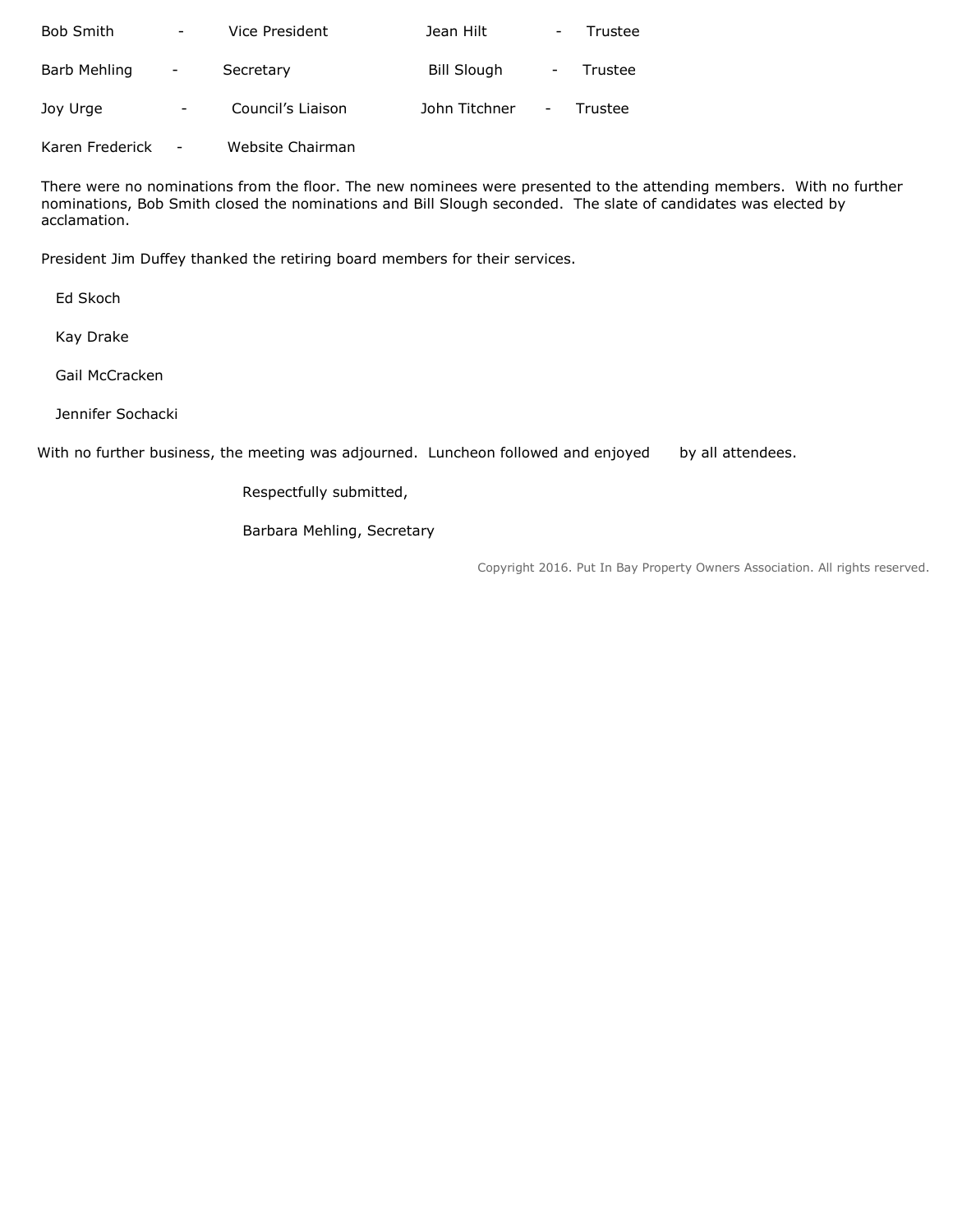| <b>Bob Smith</b> | $\overline{\phantom{a}}$ | Vice President    | Jean Hilt          |                          | Trustee |
|------------------|--------------------------|-------------------|--------------------|--------------------------|---------|
| Barb Mehling     | $\qquad \qquad -$        | Secretary         | <b>Bill Slough</b> | -                        | Trustee |
| Joy Urge         | -                        | Council's Liaison | John Titchner      | $\overline{\phantom{a}}$ | Trustee |

Karen Frederick - Website Chairman

There were no nominations from the floor. The new nominees were presented to the attending members. With no further nominations, Bob Smith closed the nominations and Bill Slough seconded. The slate of candidates was elected by acclamation.

President Jim Duffey thanked the retiring board members for their services.

Ed Skoch

Kay Drake

Gail McCracken

Jennifer Sochacki

With no further business, the meeting was adjourned. Luncheon followed and enjoyed by all attendees.

Respectfully submitted,

Barbara Mehling, Secretary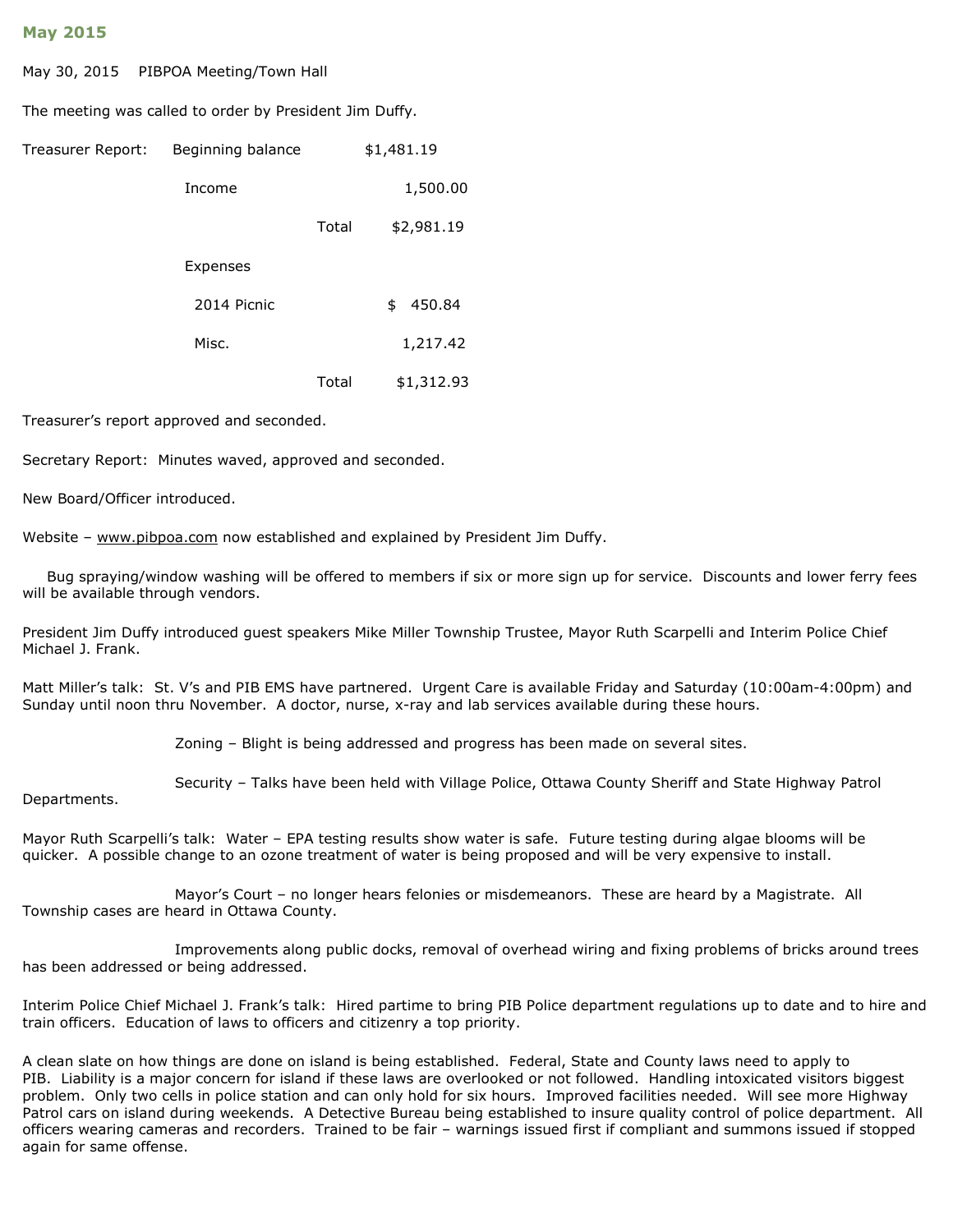#### May 2015

May 30, 2015 PIBPOA Meeting/Town Hall

The meeting was called to order by President Jim Duffy.

| Treasurer Report: | Beginning balance |       | \$1,481.19   |
|-------------------|-------------------|-------|--------------|
|                   | Income            |       | 1,500.00     |
|                   |                   | Total | \$2,981.19   |
|                   | Expenses          |       |              |
|                   | 2014 Picnic       |       | 450.84<br>\$ |
|                   | Misc.             |       | 1,217.42     |
|                   |                   | Total | \$1,312.93   |

Treasurer's report approved and seconded.

Secretary Report: Minutes waved, approved and seconded.

New Board/Officer introduced.

Website – www.pibpoa.com now established and explained by President Jim Duffy.

 Bug spraying/window washing will be offered to members if six or more sign up for service. Discounts and lower ferry fees will be available through vendors.

President Jim Duffy introduced guest speakers Mike Miller Township Trustee, Mayor Ruth Scarpelli and Interim Police Chief Michael J. Frank.

Matt Miller's talk: St. V's and PIB EMS have partnered. Urgent Care is available Friday and Saturday (10:00am-4:00pm) and Sunday until noon thru November. A doctor, nurse, x-ray and lab services available during these hours.

Zoning – Blight is being addressed and progress has been made on several sites.

Security – Talks have been held with Village Police, Ottawa County Sheriff and State Highway Patrol

Departments.

Mayor Ruth Scarpelli's talk: Water – EPA testing results show water is safe. Future testing during algae blooms will be quicker. A possible change to an ozone treatment of water is being proposed and will be very expensive to install.

 Mayor's Court – no longer hears felonies or misdemeanors. These are heard by a Magistrate. All Township cases are heard in Ottawa County.

 Improvements along public docks, removal of overhead wiring and fixing problems of bricks around trees has been addressed or being addressed.

Interim Police Chief Michael J. Frank's talk: Hired partime to bring PIB Police department regulations up to date and to hire and train officers. Education of laws to officers and citizenry a top priority.

A clean slate on how things are done on island is being established. Federal, State and County laws need to apply to PIB. Liability is a major concern for island if these laws are overlooked or not followed. Handling intoxicated visitors biggest problem. Only two cells in police station and can only hold for six hours. Improved facilities needed. Will see more Highway Patrol cars on island during weekends. A Detective Bureau being established to insure quality control of police department. All officers wearing cameras and recorders. Trained to be fair – warnings issued first if compliant and summons issued if stopped again for same offense.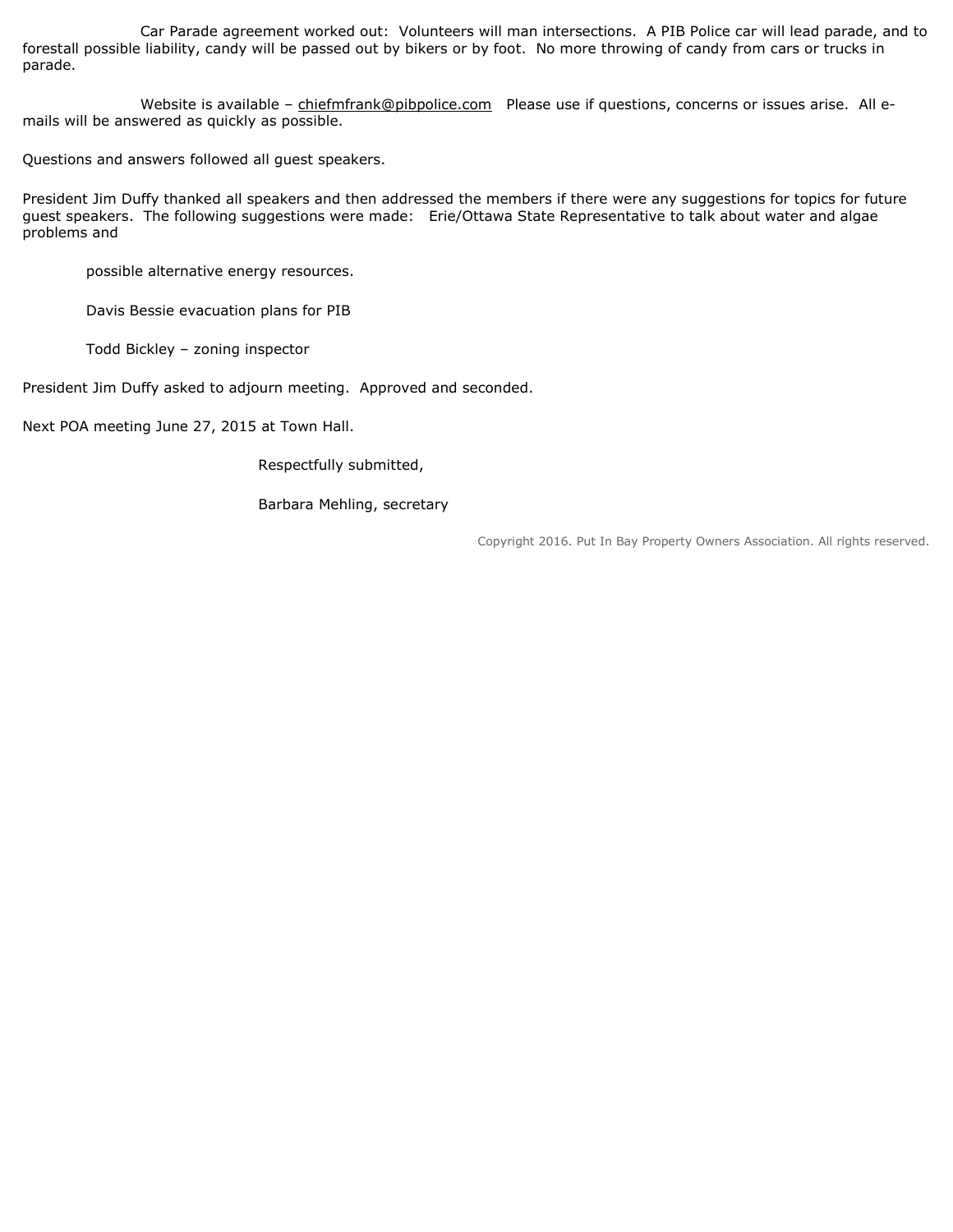Car Parade agreement worked out: Volunteers will man intersections. A PIB Police car will lead parade, and to forestall possible liability, candy will be passed out by bikers or by foot. No more throwing of candy from cars or trucks in parade.

Website is available - chiefmfrank@pibpolice.com Please use if questions, concerns or issues arise. All emails will be answered as quickly as possible.

Questions and answers followed all guest speakers.

President Jim Duffy thanked all speakers and then addressed the members if there were any suggestions for topics for future guest speakers. The following suggestions were made: Erie/Ottawa State Representative to talk about water and algae problems and

possible alternative energy resources.

Davis Bessie evacuation plans for PIB

Todd Bickley – zoning inspector

President Jim Duffy asked to adjourn meeting. Approved and seconded.

Next POA meeting June 27, 2015 at Town Hall.

Respectfully submitted,

Barbara Mehling, secretary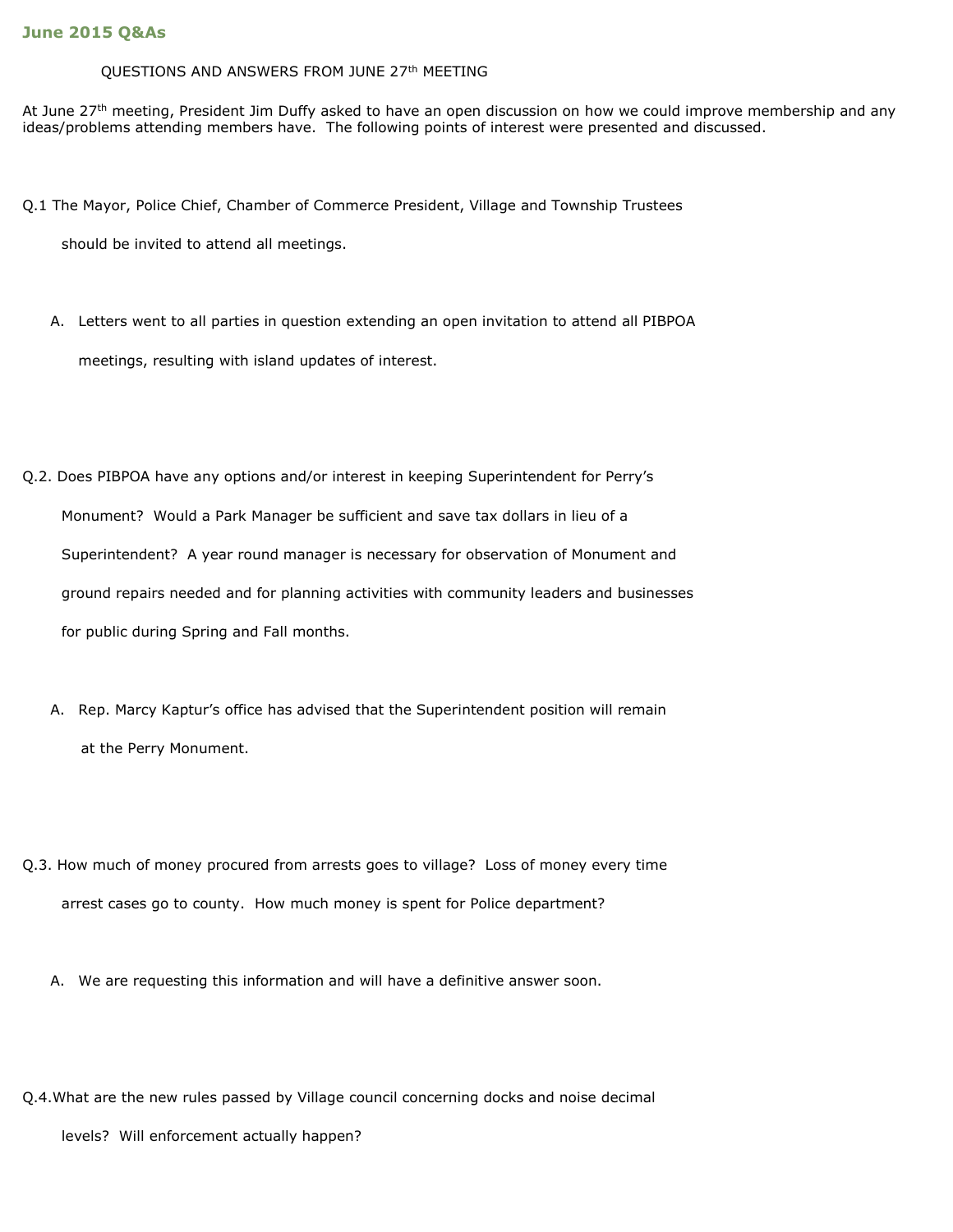#### QUESTIONS AND ANSWERS FROM JUNE 27th MEETING

At June 27<sup>th</sup> meeting, President Jim Duffy asked to have an open discussion on how we could improve membership and any ideas/problems attending members have. The following points of interest were presented and discussed.

Q.1 The Mayor, Police Chief, Chamber of Commerce President, Village and Township Trustees

should be invited to attend all meetings.

- A. Letters went to all parties in question extending an open invitation to attend all PIBPOA meetings, resulting with island updates of interest.
- Q.2. Does PIBPOA have any options and/or interest in keeping Superintendent for Perry's Monument? Would a Park Manager be sufficient and save tax dollars in lieu of a Superintendent? A year round manager is necessary for observation of Monument and ground repairs needed and for planning activities with community leaders and businesses for public during Spring and Fall months.
	- A. Rep. Marcy Kaptur's office has advised that the Superintendent position will remain at the Perry Monument.
- Q.3. How much of money procured from arrests goes to village? Loss of money every time arrest cases go to county. How much money is spent for Police department?
	- A. We are requesting this information and will have a definitive answer soon.
- Q.4.What are the new rules passed by Village council concerning docks and noise decimal
	- levels? Will enforcement actually happen?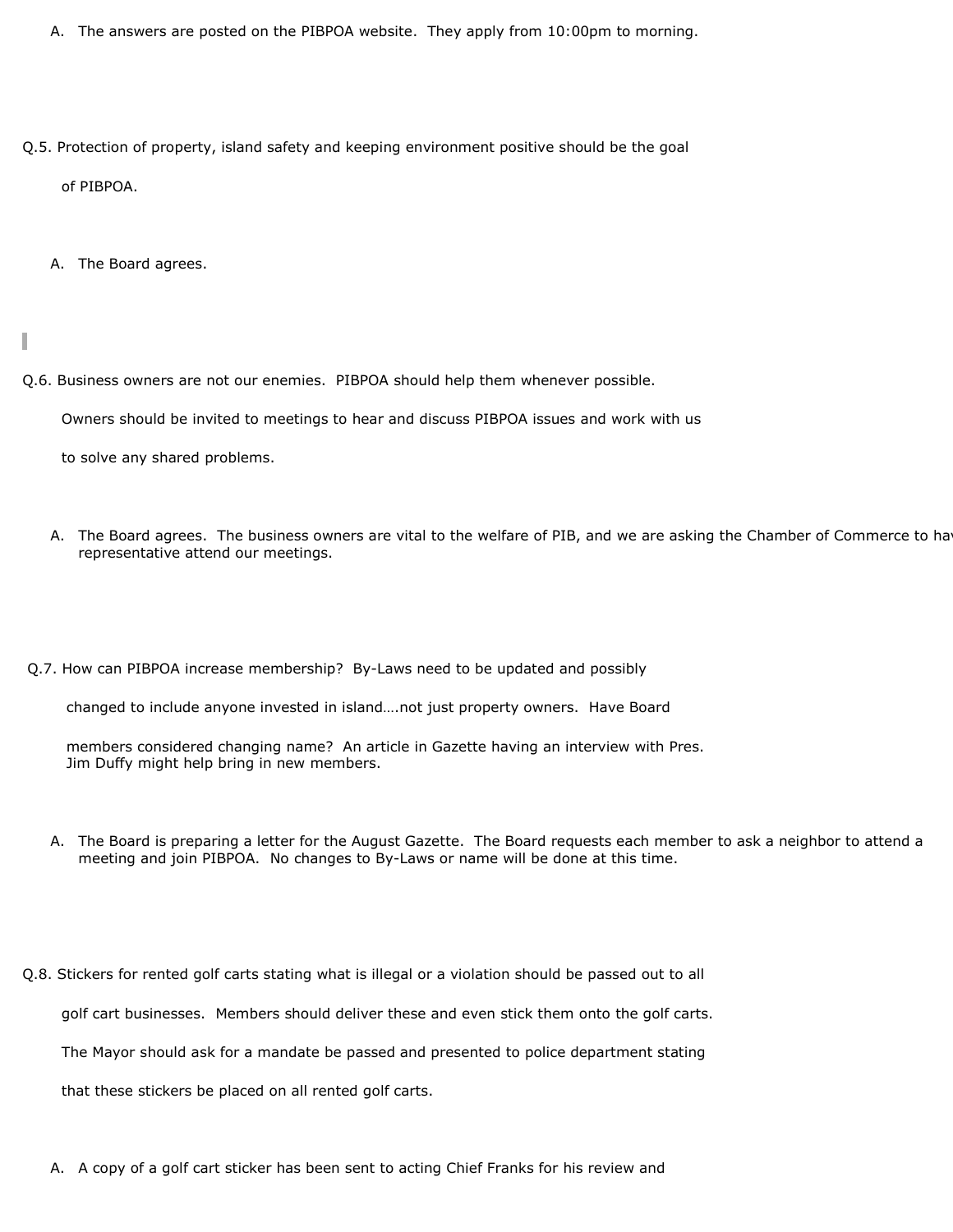- A. The answers are posted on the PIBPOA website. They apply from 10:00pm to morning.
- Q.5. Protection of property, island safety and keeping environment positive should be the goal

of PIBPOA.

A. The Board agrees.

ı

Q.6. Business owners are not our enemies. PIBPOA should help them whenever possible.

Owners should be invited to meetings to hear and discuss PIBPOA issues and work with us

to solve any shared problems.

- A. The Board agrees. The business owners are vital to the welfare of PIB, and we are asking the Chamber of Commerce to ha representative attend our meetings.
- Q.7. How can PIBPOA increase membership? By-Laws need to be updated and possibly

changed to include anyone invested in island….not just property owners. Have Board

 members considered changing name? An article in Gazette having an interview with Pres. Jim Duffy might help bring in new members.

- A. The Board is preparing a letter for the August Gazette. The Board requests each member to ask a neighbor to attend a meeting and join PIBPOA. No changes to By-Laws or name will be done at this time.
- Q.8. Stickers for rented golf carts stating what is illegal or a violation should be passed out to all

golf cart businesses. Members should deliver these and even stick them onto the golf carts.

The Mayor should ask for a mandate be passed and presented to police department stating

that these stickers be placed on all rented golf carts.

A. A copy of a golf cart sticker has been sent to acting Chief Franks for his review and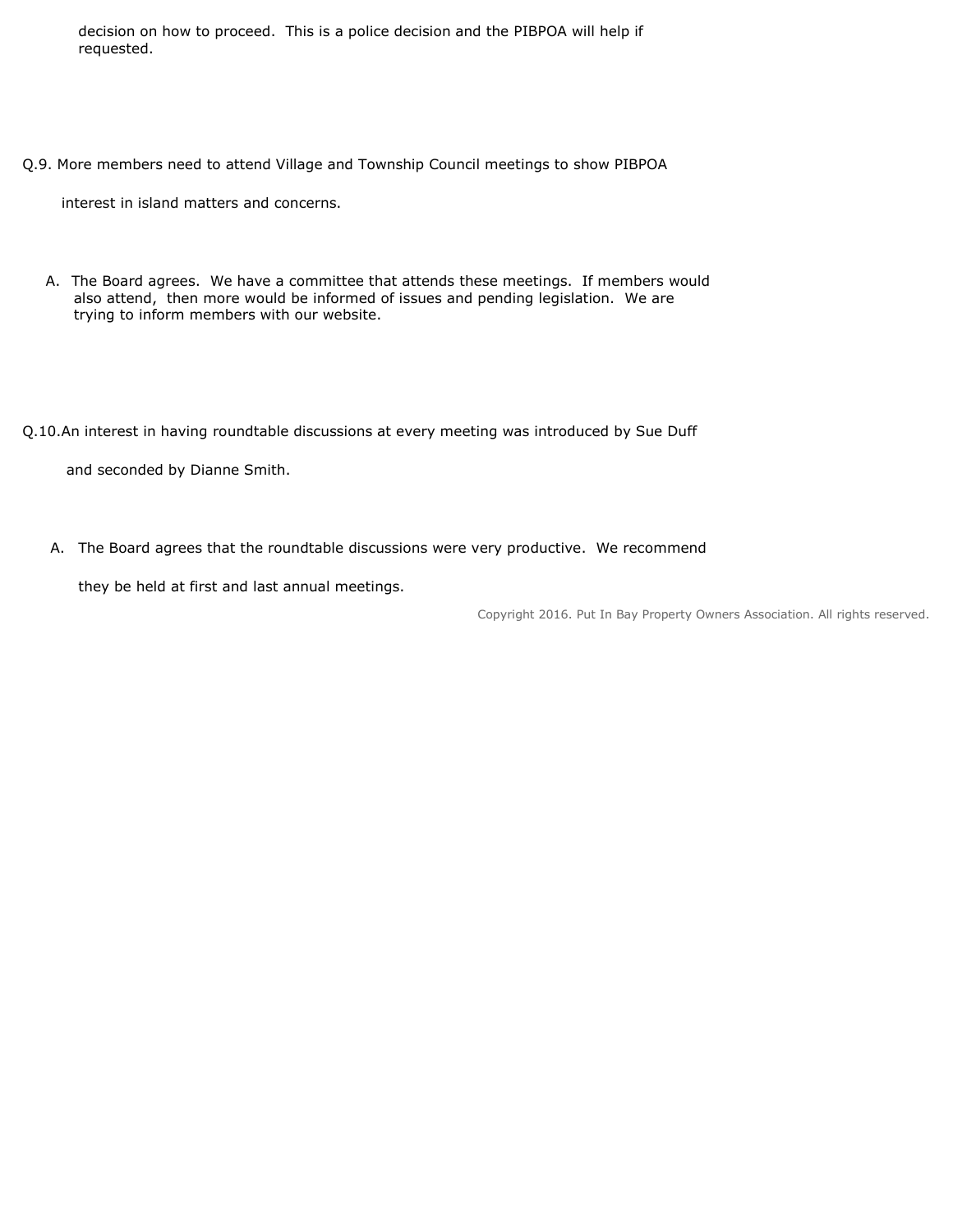decision on how to proceed. This is a police decision and the PIBPOA will help if requested.

Q.9. More members need to attend Village and Township Council meetings to show PIBPOA

interest in island matters and concerns.

A. The Board agrees. We have a committee that attends these meetings. If members would also attend, then more would be informed of issues and pending legislation. We are trying to inform members with our website.

Q.10.An interest in having roundtable discussions at every meeting was introduced by Sue Duff

and seconded by Dianne Smith.

A. The Board agrees that the roundtable discussions were very productive. We recommend

they be held at first and last annual meetings.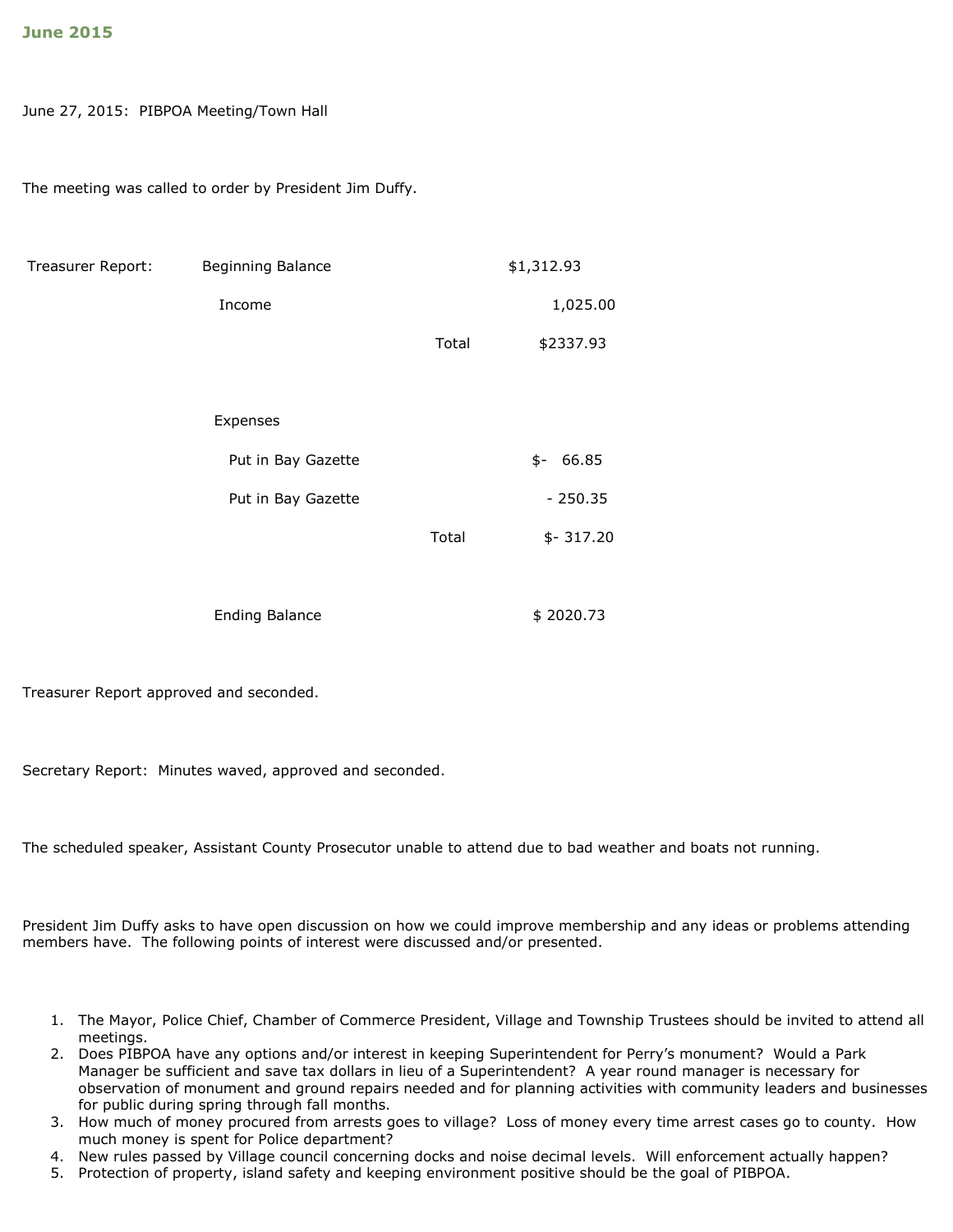#### June 27, 2015: PIBPOA Meeting/Town Hall

The meeting was called to order by President Jim Duffy.

| Treasurer Report: | Beginning Balance     |       | \$1,312.93   |
|-------------------|-----------------------|-------|--------------|
|                   | Income                |       | 1,025.00     |
|                   |                       | Total | \$2337.93    |
|                   |                       |       |              |
|                   | Expenses              |       |              |
|                   | Put in Bay Gazette    |       | 66.85<br>\$- |
|                   | Put in Bay Gazette    |       | $-250.35$    |
|                   |                       | Total | $$-317.20$   |
|                   |                       |       |              |
|                   | <b>Ending Balance</b> |       | \$2020.73    |

Treasurer Report approved and seconded.

Secretary Report: Minutes waved, approved and seconded.

The scheduled speaker, Assistant County Prosecutor unable to attend due to bad weather and boats not running.

President Jim Duffy asks to have open discussion on how we could improve membership and any ideas or problems attending members have. The following points of interest were discussed and/or presented.

- 1. The Mayor, Police Chief, Chamber of Commerce President, Village and Township Trustees should be invited to attend all meetings.
- 2. Does PIBPOA have any options and/or interest in keeping Superintendent for Perry's monument? Would a Park Manager be sufficient and save tax dollars in lieu of a Superintendent? A year round manager is necessary for observation of monument and ground repairs needed and for planning activities with community leaders and businesses for public during spring through fall months.
- 3. How much of money procured from arrests goes to village? Loss of money every time arrest cases go to county. How much money is spent for Police department?
- 4. New rules passed by Village council concerning docks and noise decimal levels. Will enforcement actually happen?
- 5. Protection of property, island safety and keeping environment positive should be the goal of PIBPOA.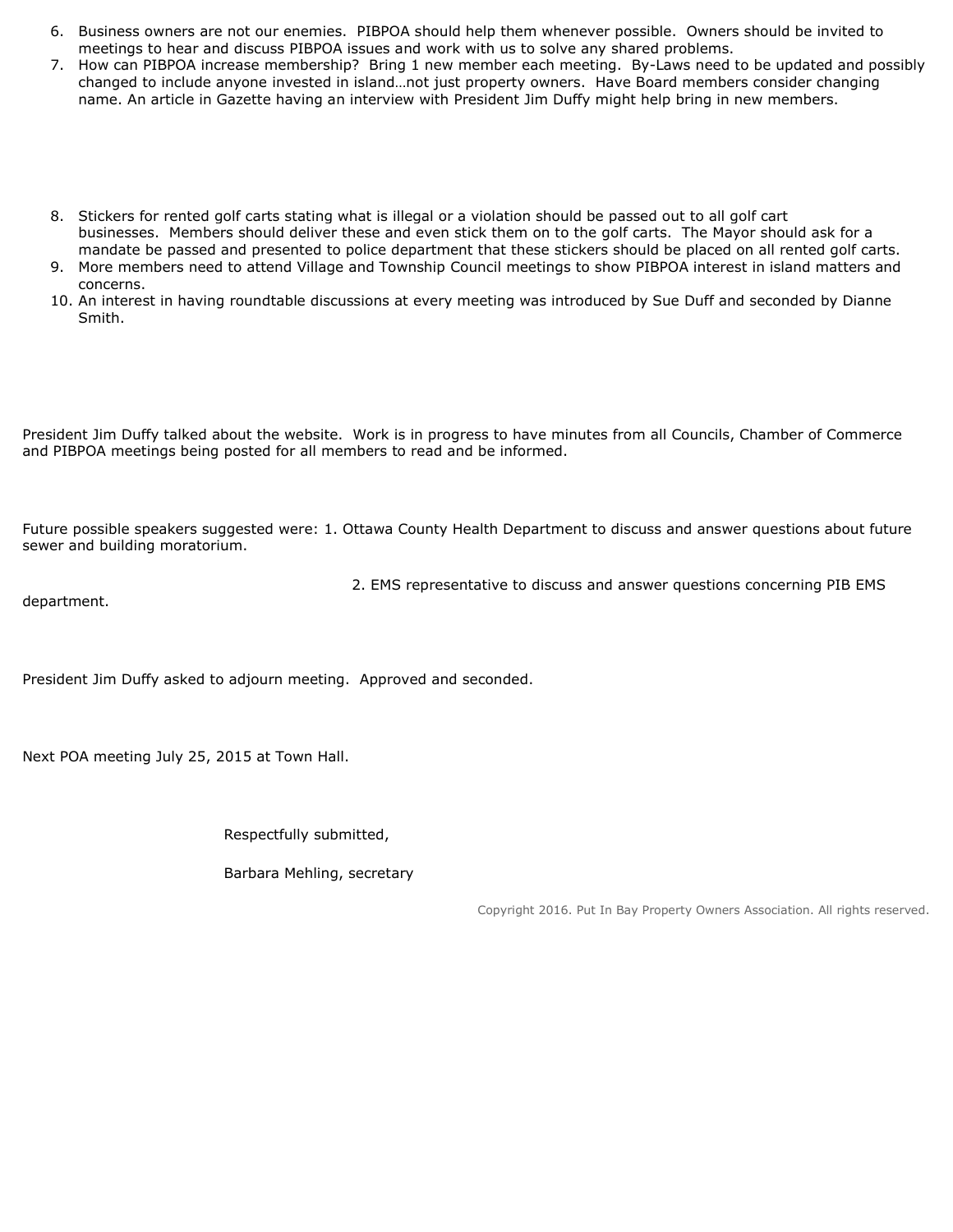- 6. Business owners are not our enemies. PIBPOA should help them whenever possible. Owners should be invited to meetings to hear and discuss PIBPOA issues and work with us to solve any shared problems.
- 7. How can PIBPOA increase membership? Bring 1 new member each meeting. By-Laws need to be updated and possibly changed to include anyone invested in island…not just property owners. Have Board members consider changing name. An article in Gazette having an interview with President Jim Duffy might help bring in new members.
- 8. Stickers for rented golf carts stating what is illegal or a violation should be passed out to all golf cart businesses. Members should deliver these and even stick them on to the golf carts. The Mayor should ask for a mandate be passed and presented to police department that these stickers should be placed on all rented golf carts.
- 9. More members need to attend Village and Township Council meetings to show PIBPOA interest in island matters and concerns.
- 10. An interest in having roundtable discussions at every meeting was introduced by Sue Duff and seconded by Dianne Smith.

President Jim Duffy talked about the website. Work is in progress to have minutes from all Councils, Chamber of Commerce and PIBPOA meetings being posted for all members to read and be informed.

Future possible speakers suggested were: 1. Ottawa County Health Department to discuss and answer questions about future sewer and building moratorium.

department.

2. EMS representative to discuss and answer questions concerning PIB EMS

President Jim Duffy asked to adjourn meeting. Approved and seconded.

Next POA meeting July 25, 2015 at Town Hall.

Respectfully submitted,

Barbara Mehling, secretary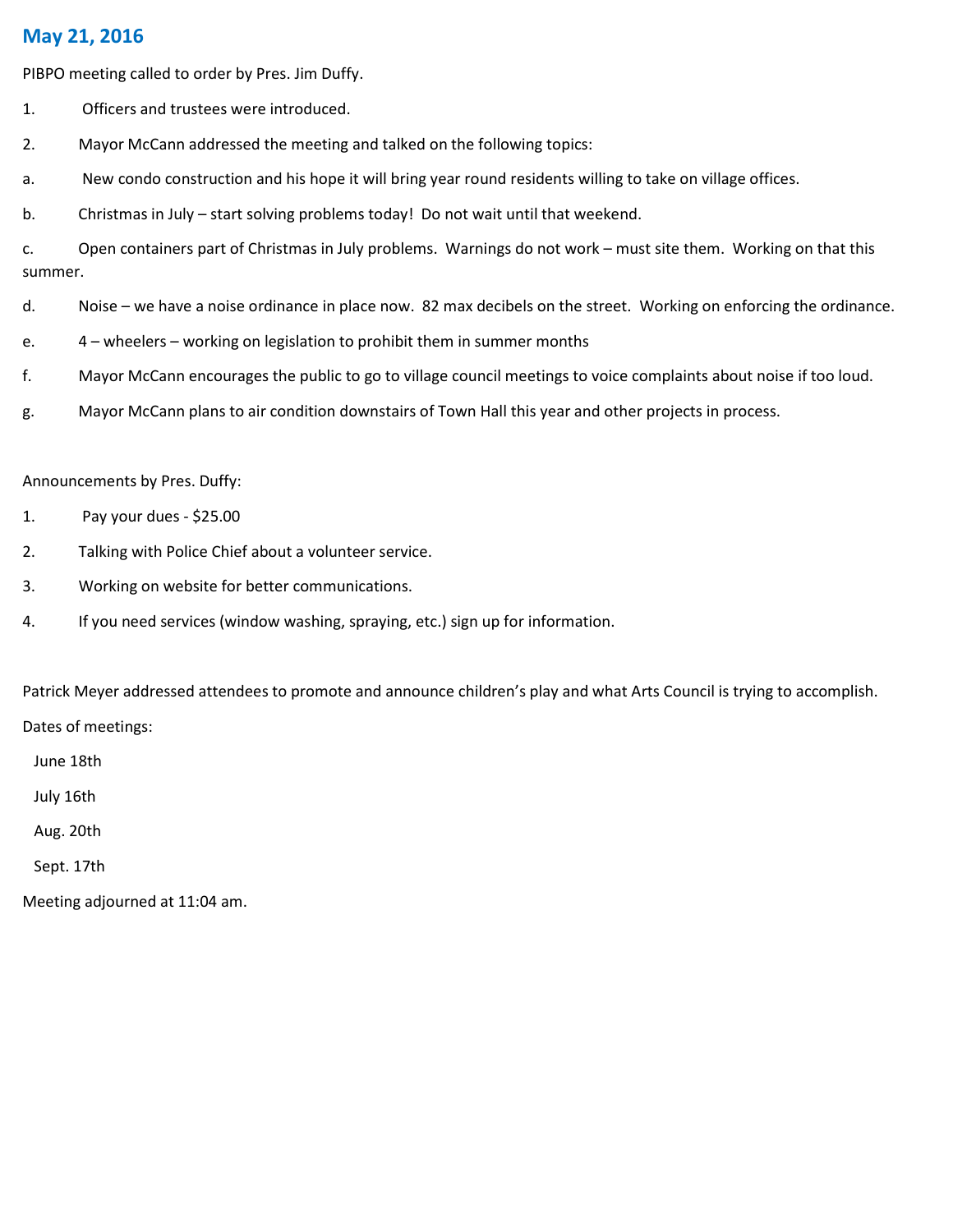## May 21, 2016

PIBPO meeting called to order by Pres. Jim Duffy.

- 1. Officers and trustees were introduced.
- 2. Mayor McCann addressed the meeting and talked on the following topics:
- a. New condo construction and his hope it will bring year round residents willing to take on village offices.
- b. Christmas in July start solving problems today! Do not wait until that weekend.

c. Open containers part of Christmas in July problems. Warnings do not work – must site them. Working on that this summer.

- d. Noise we have a noise ordinance in place now. 82 max decibels on the street. Working on enforcing the ordinance.
- e. 4 wheelers working on legislation to prohibit them in summer months
- f. Mayor McCann encourages the public to go to village council meetings to voice complaints about noise if too loud.
- g. Mayor McCann plans to air condition downstairs of Town Hall this year and other projects in process.

#### Announcements by Pres. Duffy:

- 1. Pay your dues \$25.00
- 2. Talking with Police Chief about a volunteer service.
- 3. Working on website for better communications.
- 4. If you need services (window washing, spraying, etc.) sign up for information.

Patrick Meyer addressed attendees to promote and announce children's play and what Arts Council is trying to accomplish. Dates of meetings:

June 18th

July 16th

Aug. 20th

Sept. 17th

Meeting adjourned at 11:04 am.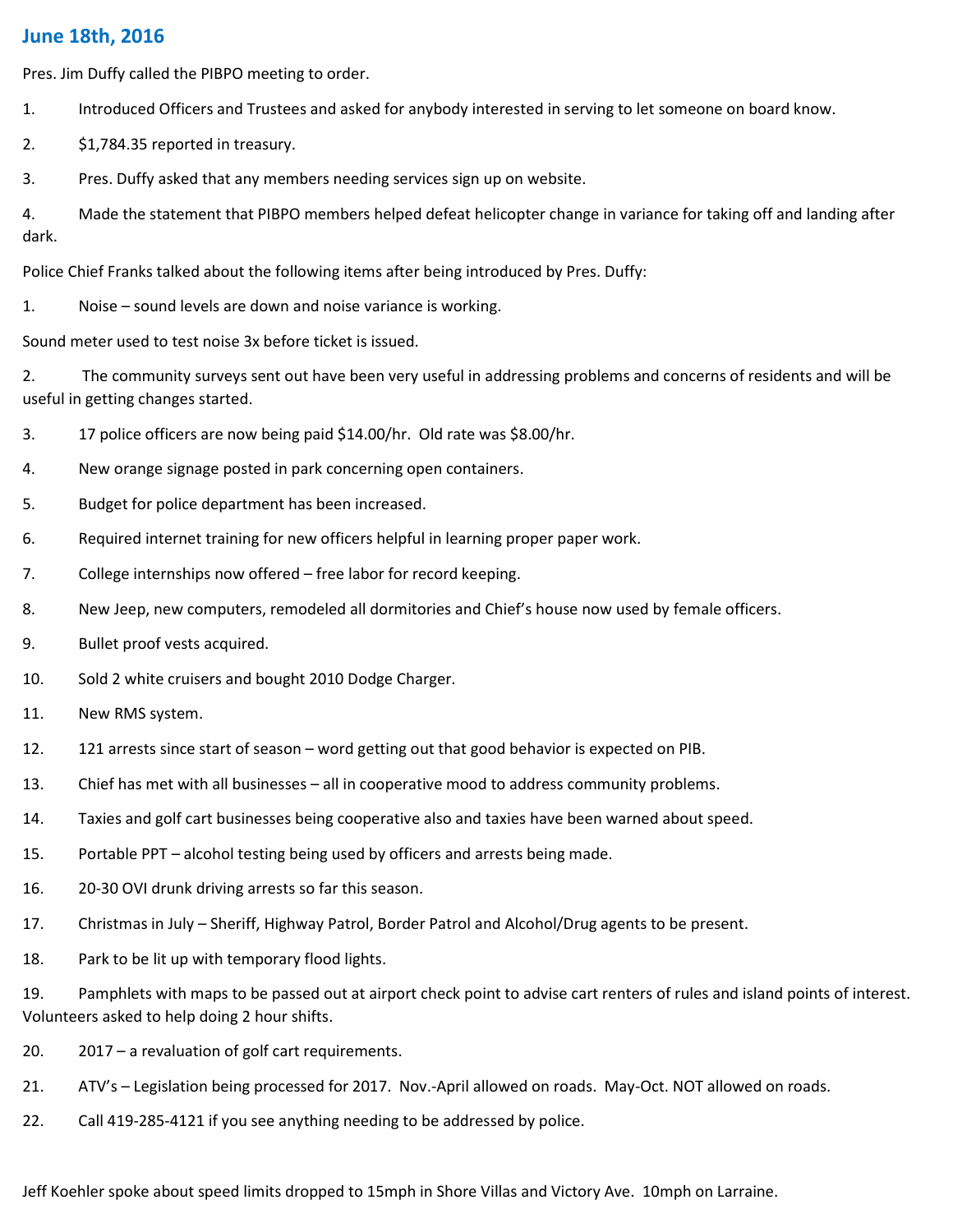### June 18th, 2016

Pres. Jim Duffy called the PIBPO meeting to order.

- 1. Introduced Officers and Trustees and asked for anybody interested in serving to let someone on board know.
- 2. \$1,784.35 reported in treasury.
- 3. Pres. Duffy asked that any members needing services sign up on website.

4. Made the statement that PIBPO members helped defeat helicopter change in variance for taking off and landing after dark.

Police Chief Franks talked about the following items after being introduced by Pres. Duffy:

1. Noise – sound levels are down and noise variance is working.

Sound meter used to test noise 3x before ticket is issued.

2. The community surveys sent out have been very useful in addressing problems and concerns of residents and will be useful in getting changes started.

- 3. 17 police officers are now being paid \$14.00/hr. Old rate was \$8.00/hr.
- 4. New orange signage posted in park concerning open containers.
- 5. Budget for police department has been increased.
- 6. Required internet training for new officers helpful in learning proper paper work.
- 7. College internships now offered free labor for record keeping.
- 8. New Jeep, new computers, remodeled all dormitories and Chief's house now used by female officers.
- 9. Bullet proof vests acquired.
- 10. Sold 2 white cruisers and bought 2010 Dodge Charger.
- 11. New RMS system.
- 12. 121 arrests since start of season word getting out that good behavior is expected on PIB.
- 13. Chief has met with all businesses all in cooperative mood to address community problems.
- 14. Taxies and golf cart businesses being cooperative also and taxies have been warned about speed.
- 15. Portable PPT alcohol testing being used by officers and arrests being made.
- 16. 20-30 OVI drunk driving arrests so far this season.
- 17. Christmas in July Sheriff, Highway Patrol, Border Patrol and Alcohol/Drug agents to be present.
- 18. Park to be lit up with temporary flood lights.

19. Pamphlets with maps to be passed out at airport check point to advise cart renters of rules and island points of interest. Volunteers asked to help doing 2 hour shifts.

- 20. 2017 a revaluation of golf cart requirements.
- 21. ATV's Legislation being processed for 2017. Nov.-April allowed on roads. May-Oct. NOT allowed on roads.
- 22. Call 419-285-4121 if you see anything needing to be addressed by police.

Jeff Koehler spoke about speed limits dropped to 15mph in Shore Villas and Victory Ave. 10mph on Larraine.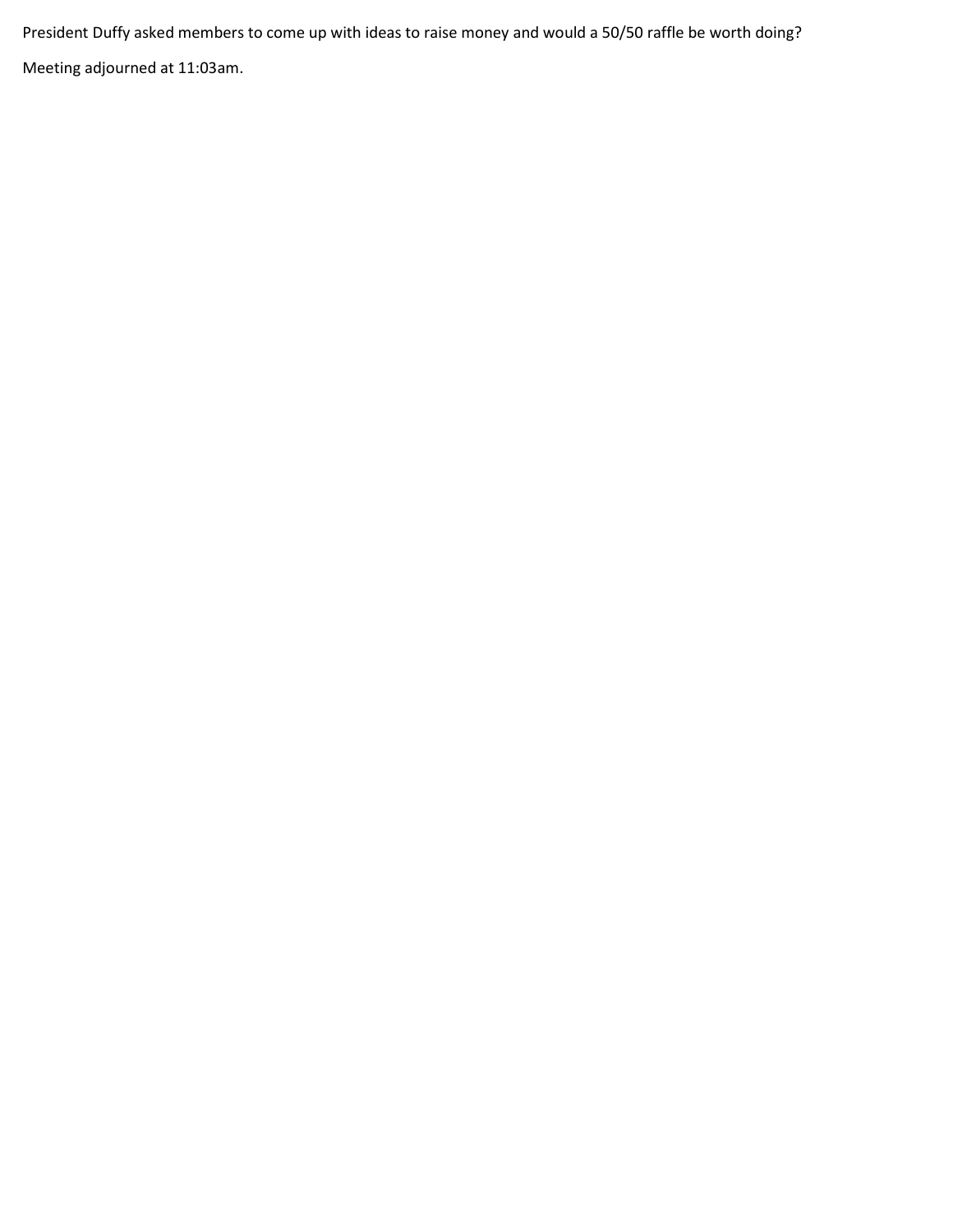President Duffy asked members to come up with ideas to raise money and would a 50/50 raffle be worth doing? Meeting adjourned at 11:03am.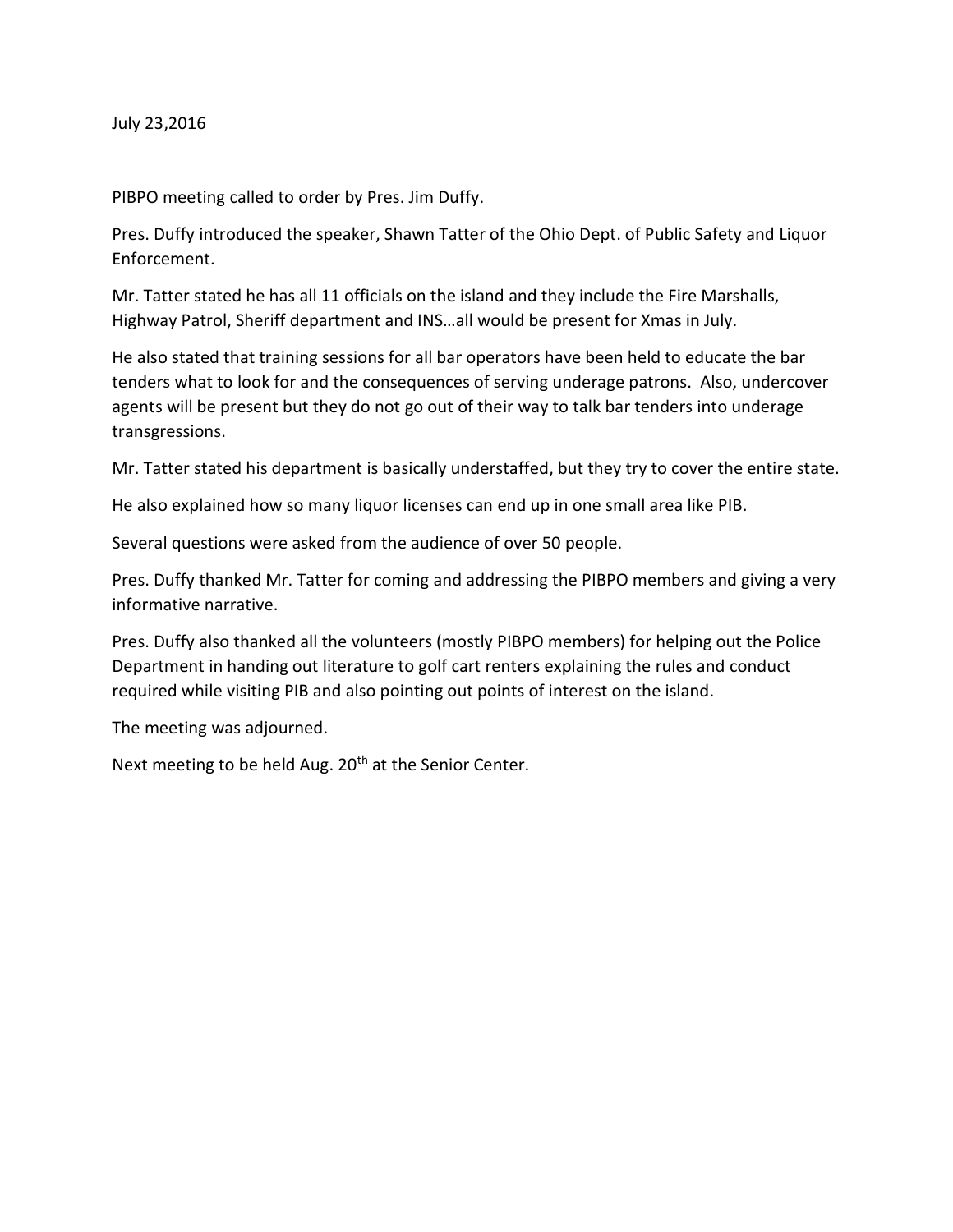July 23,2016

PIBPO meeting called to order by Pres. Jim Duffy.

Pres. Duffy introduced the speaker, Shawn Tatter of the Ohio Dept. of Public Safety and Liquor Enforcement.

Mr. Tatter stated he has all 11 officials on the island and they include the Fire Marshalls, Highway Patrol, Sheriff department and INS…all would be present for Xmas in July.

He also stated that training sessions for all bar operators have been held to educate the bar tenders what to look for and the consequences of serving underage patrons. Also, undercover agents will be present but they do not go out of their way to talk bar tenders into underage transgressions.

Mr. Tatter stated his department is basically understaffed, but they try to cover the entire state.

He also explained how so many liquor licenses can end up in one small area like PIB.

Several questions were asked from the audience of over 50 people.

Pres. Duffy thanked Mr. Tatter for coming and addressing the PIBPO members and giving a very informative narrative.

Pres. Duffy also thanked all the volunteers (mostly PIBPO members) for helping out the Police Department in handing out literature to golf cart renters explaining the rules and conduct required while visiting PIB and also pointing out points of interest on the island.

The meeting was adjourned.

Next meeting to be held Aug. 20<sup>th</sup> at the Senior Center.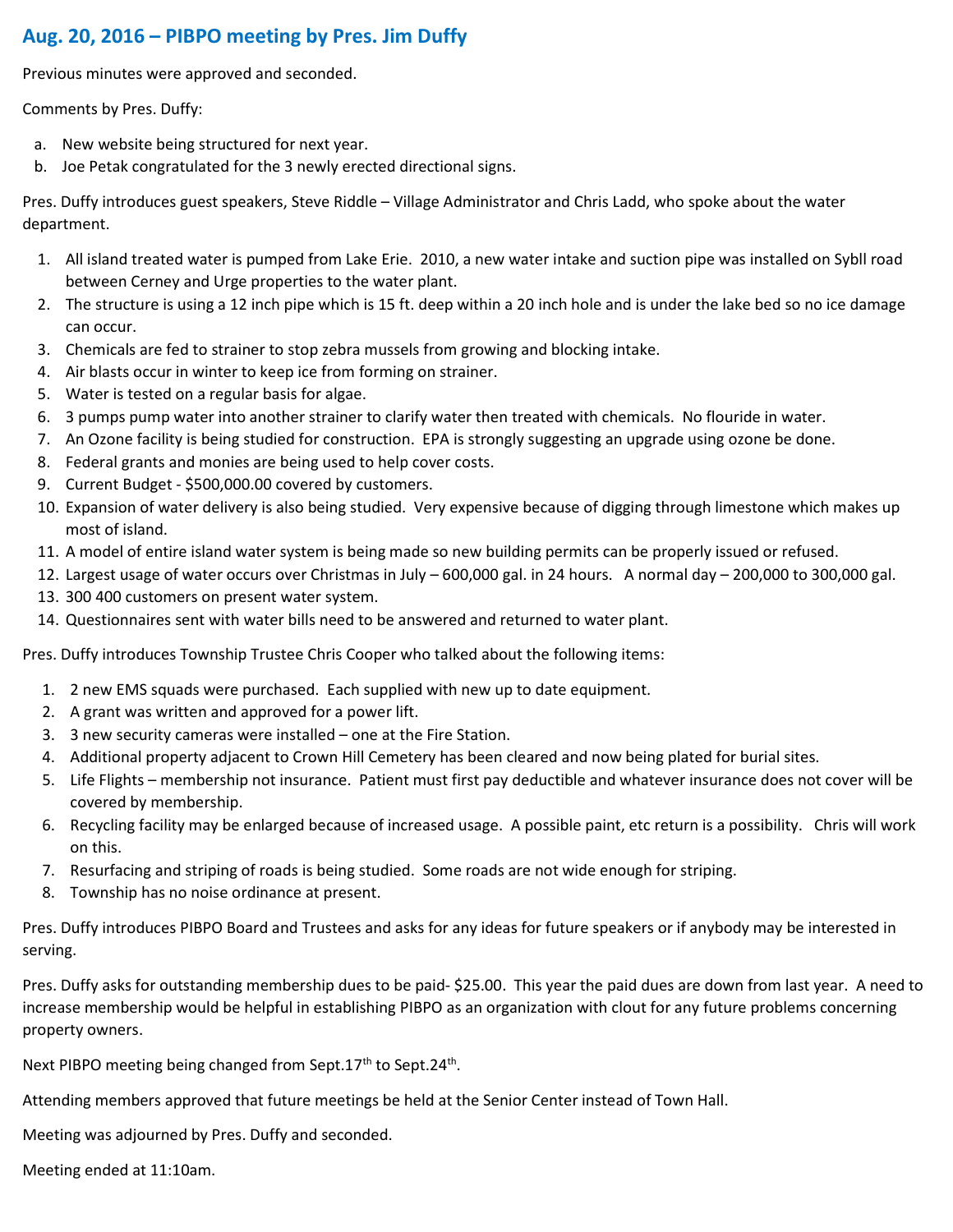# Aug. 20, 2016 – PIBPO meeting by Pres. Jim Duffy

Previous minutes were approved and seconded.

Comments by Pres. Duffy:

- a. New website being structured for next year.
- b. Joe Petak congratulated for the 3 newly erected directional signs.

Pres. Duffy introduces guest speakers, Steve Riddle – Village Administrator and Chris Ladd, who spoke about the water department.

- 1. All island treated water is pumped from Lake Erie. 2010, a new water intake and suction pipe was installed on Sybll road between Cerney and Urge properties to the water plant.
- 2. The structure is using a 12 inch pipe which is 15 ft. deep within a 20 inch hole and is under the lake bed so no ice damage can occur.
- 3. Chemicals are fed to strainer to stop zebra mussels from growing and blocking intake.
- 4. Air blasts occur in winter to keep ice from forming on strainer.
- 5. Water is tested on a regular basis for algae.
- 6. 3 pumps pump water into another strainer to clarify water then treated with chemicals. No flouride in water.
- 7. An Ozone facility is being studied for construction. EPA is strongly suggesting an upgrade using ozone be done.
- 8. Federal grants and monies are being used to help cover costs.
- 9. Current Budget \$500,000.00 covered by customers.
- 10. Expansion of water delivery is also being studied. Very expensive because of digging through limestone which makes up most of island.
- 11. A model of entire island water system is being made so new building permits can be properly issued or refused.
- 12. Largest usage of water occurs over Christmas in July 600,000 gal. in 24 hours. A normal day 200,000 to 300,000 gal.
- 13. 300 400 customers on present water system.
- 14. Questionnaires sent with water bills need to be answered and returned to water plant.

Pres. Duffy introduces Township Trustee Chris Cooper who talked about the following items:

- 1. 2 new EMS squads were purchased. Each supplied with new up to date equipment.
- 2. A grant was written and approved for a power lift.
- 3. 3 new security cameras were installed one at the Fire Station.
- 4. Additional property adjacent to Crown Hill Cemetery has been cleared and now being plated for burial sites.
- 5. Life Flights membership not insurance. Patient must first pay deductible and whatever insurance does not cover will be covered by membership.
- 6. Recycling facility may be enlarged because of increased usage. A possible paint, etc return is a possibility. Chris will work on this.
- 7. Resurfacing and striping of roads is being studied. Some roads are not wide enough for striping.
- 8. Township has no noise ordinance at present.

Pres. Duffy introduces PIBPO Board and Trustees and asks for any ideas for future speakers or if anybody may be interested in serving.

Pres. Duffy asks for outstanding membership dues to be paid- \$25.00. This year the paid dues are down from last year. A need to increase membership would be helpful in establishing PIBPO as an organization with clout for any future problems concerning property owners.

Next PIBPO meeting being changed from Sept.17<sup>th</sup> to Sept.24<sup>th</sup>.

Attending members approved that future meetings be held at the Senior Center instead of Town Hall.

Meeting was adjourned by Pres. Duffy and seconded.

Meeting ended at 11:10am.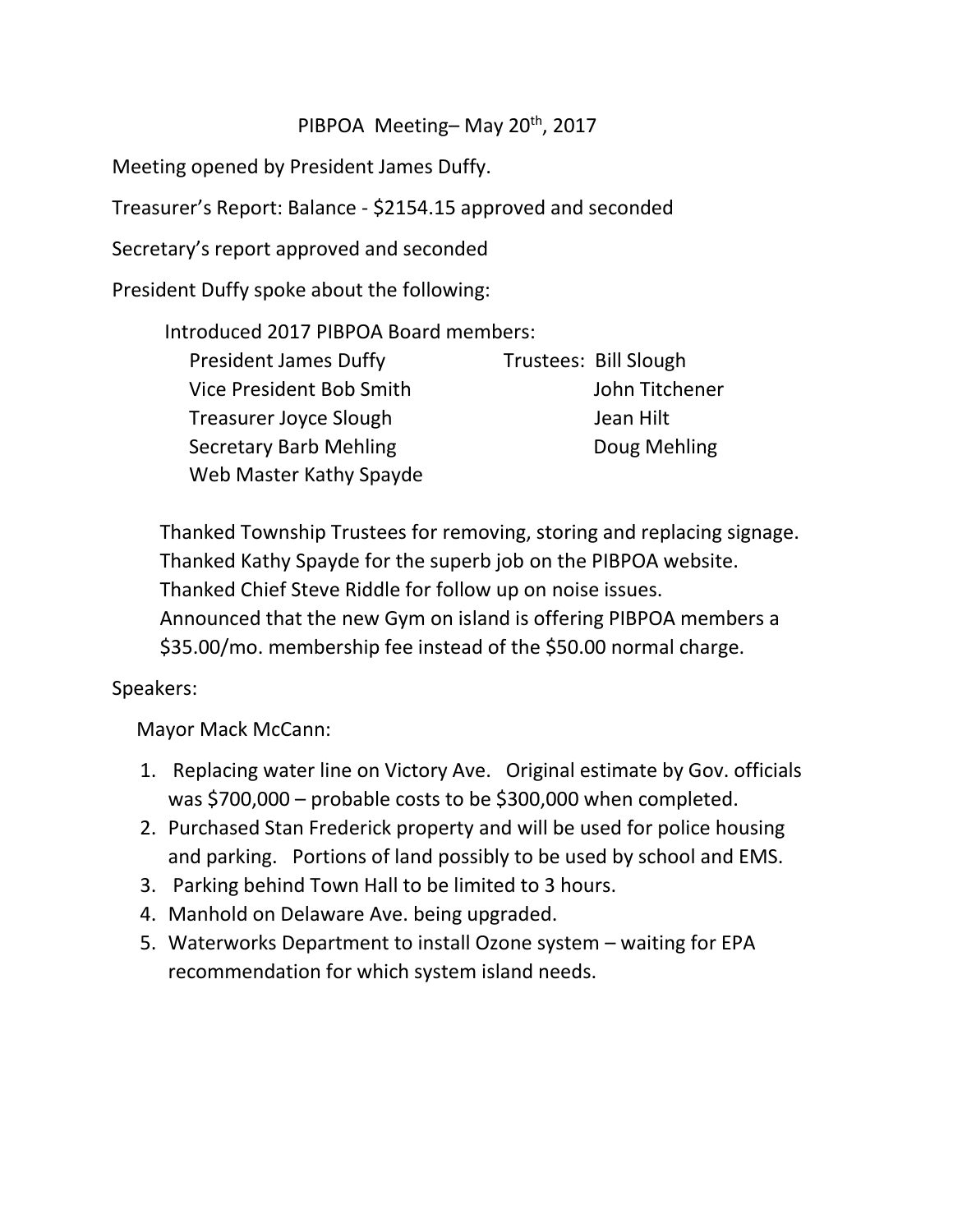# PIBPOA Meeting-May 20<sup>th</sup>, 2017

Meeting opened by President James Duffy.

Treasurer's Report: Balance - \$2154.15 approved and seconded

Secretary's report approved and seconded

President Duffy spoke about the following:

Introduced 2017 PIBPOA Board members:

| <b>President James Duffy</b>  | Trustees: Bill Slough |
|-------------------------------|-----------------------|
| Vice President Bob Smith      | John Titchener        |
| <b>Treasurer Joyce Slough</b> | Jean Hilt             |
| <b>Secretary Barb Mehling</b> | Doug Mehling          |
| Web Master Kathy Spayde       |                       |

Thanked Township Trustees for removing, storing and replacing signage. Thanked Kathy Spayde for the superb job on the PIBPOA website. Thanked Chief Steve Riddle for follow up on noise issues. Announced that the new Gym on island is offering PIBPOA members a \$35.00/mo. membership fee instead of the \$50.00 normal charge.

# Speakers:

Mayor Mack McCann:

- 1. Replacing water line on Victory Ave. Original estimate by Gov. officials was \$700,000 – probable costs to be \$300,000 when completed.
- 2. Purchased Stan Frederick property and will be used for police housing and parking. Portions of land possibly to be used by school and EMS.
- 3. Parking behind Town Hall to be limited to 3 hours.
- 4. Manhold on Delaware Ave. being upgraded.
- 5. Waterworks Department to install Ozone system waiting for EPA recommendation for which system island needs.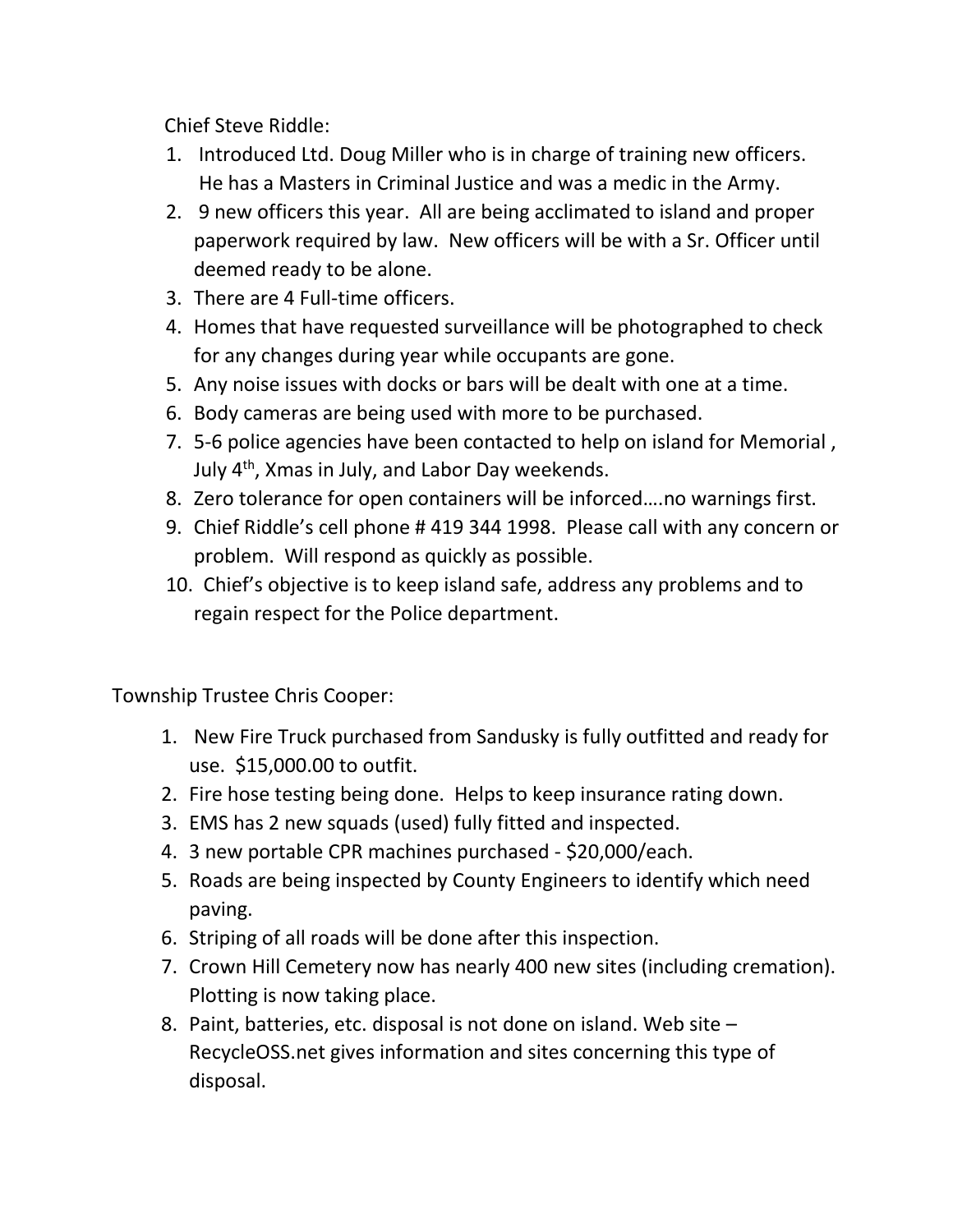Chief Steve Riddle:

- 1. Introduced Ltd. Doug Miller who is in charge of training new officers. He has a Masters in Criminal Justice and was a medic in the Army.
- 2. 9 new officers this year. All are being acclimated to island and proper paperwork required by law. New officers will be with a Sr. Officer until deemed ready to be alone.
- 3. There are 4 Full-time officers.
- 4. Homes that have requested surveillance will be photographed to check for any changes during year while occupants are gone.
- 5. Any noise issues with docks or bars will be dealt with one at a time.
- 6. Body cameras are being used with more to be purchased.
- 7. 5-6 police agencies have been contacted to help on island for Memorial , July 4th, Xmas in July, and Labor Day weekends.
- 8. Zero tolerance for open containers will be inforced….no warnings first.
- 9. Chief Riddle's cell phone # 419 344 1998. Please call with any concern or problem. Will respond as quickly as possible.
- 10. Chief's objective is to keep island safe, address any problems and to regain respect for the Police department.

Township Trustee Chris Cooper:

- 1. New Fire Truck purchased from Sandusky is fully outfitted and ready for use. \$15,000.00 to outfit.
- 2. Fire hose testing being done. Helps to keep insurance rating down.
- 3. EMS has 2 new squads (used) fully fitted and inspected.
- 4. 3 new portable CPR machines purchased \$20,000/each.
- 5. Roads are being inspected by County Engineers to identify which need paving.
- 6. Striping of all roads will be done after this inspection.
- 7. Crown Hill Cemetery now has nearly 400 new sites (including cremation). Plotting is now taking place.
- 8. Paint, batteries, etc. disposal is not done on island. Web site RecycleOSS.net gives information and sites concerning this type of disposal.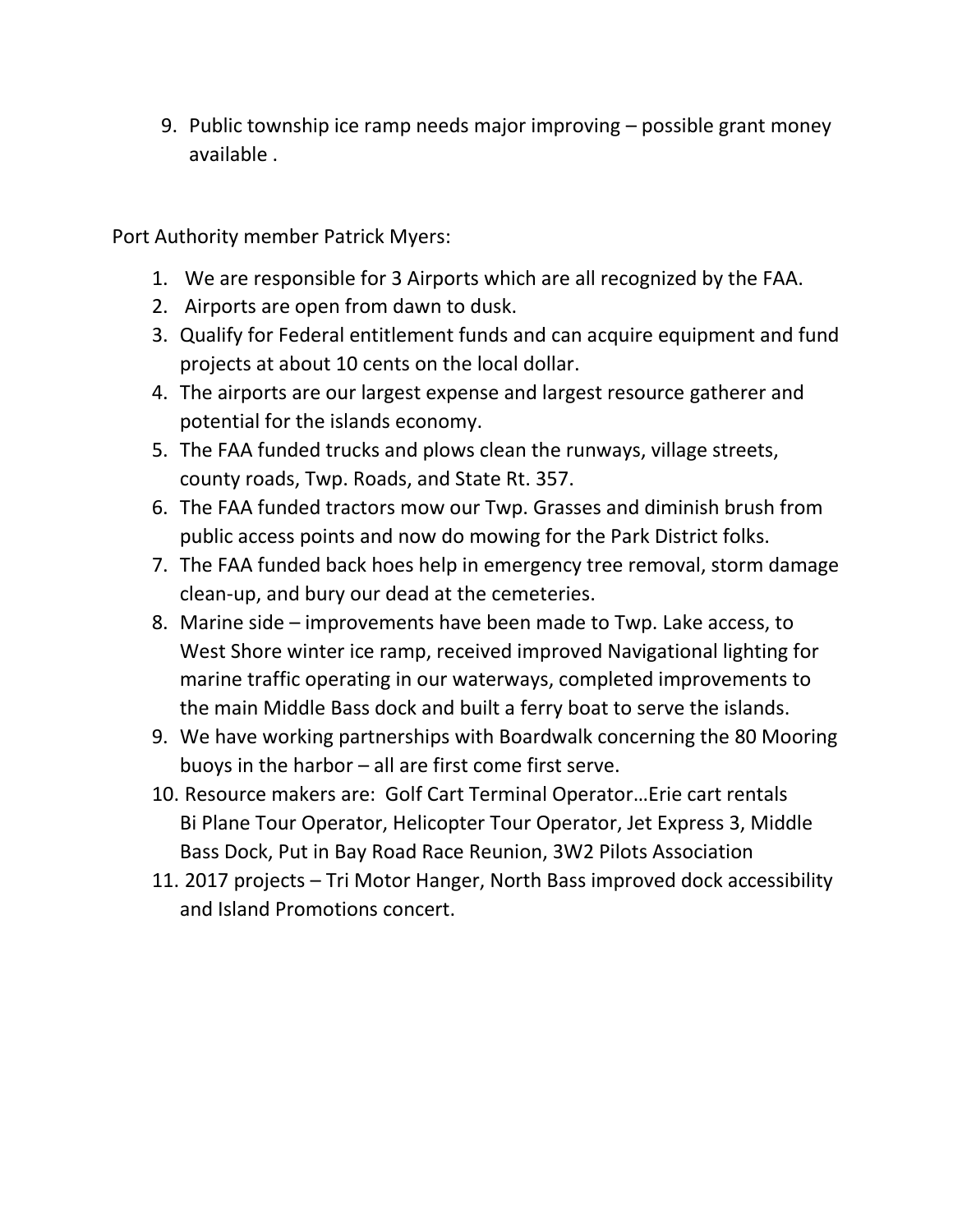9. Public township ice ramp needs major improving – possible grant money available .

Port Authority member Patrick Myers:

- 1. We are responsible for 3 Airports which are all recognized by the FAA.
- 2. Airports are open from dawn to dusk.
- 3. Qualify for Federal entitlement funds and can acquire equipment and fund projects at about 10 cents on the local dollar.
- 4. The airports are our largest expense and largest resource gatherer and potential for the islands economy.
- 5. The FAA funded trucks and plows clean the runways, village streets, county roads, Twp. Roads, and State Rt. 357.
- 6. The FAA funded tractors mow our Twp. Grasses and diminish brush from public access points and now do mowing for the Park District folks.
- 7. The FAA funded back hoes help in emergency tree removal, storm damage clean-up, and bury our dead at the cemeteries.
- 8. Marine side improvements have been made to Twp. Lake access, to West Shore winter ice ramp, received improved Navigational lighting for marine traffic operating in our waterways, completed improvements to the main Middle Bass dock and built a ferry boat to serve the islands.
- 9. We have working partnerships with Boardwalk concerning the 80 Mooring buoys in the harbor – all are first come first serve.
- 10. Resource makers are: Golf Cart Terminal Operator…Erie cart rentals Bi Plane Tour Operator, Helicopter Tour Operator, Jet Express 3, Middle Bass Dock, Put in Bay Road Race Reunion, 3W2 Pilots Association
- 11. 2017 projects Tri Motor Hanger, North Bass improved dock accessibility and Island Promotions concert.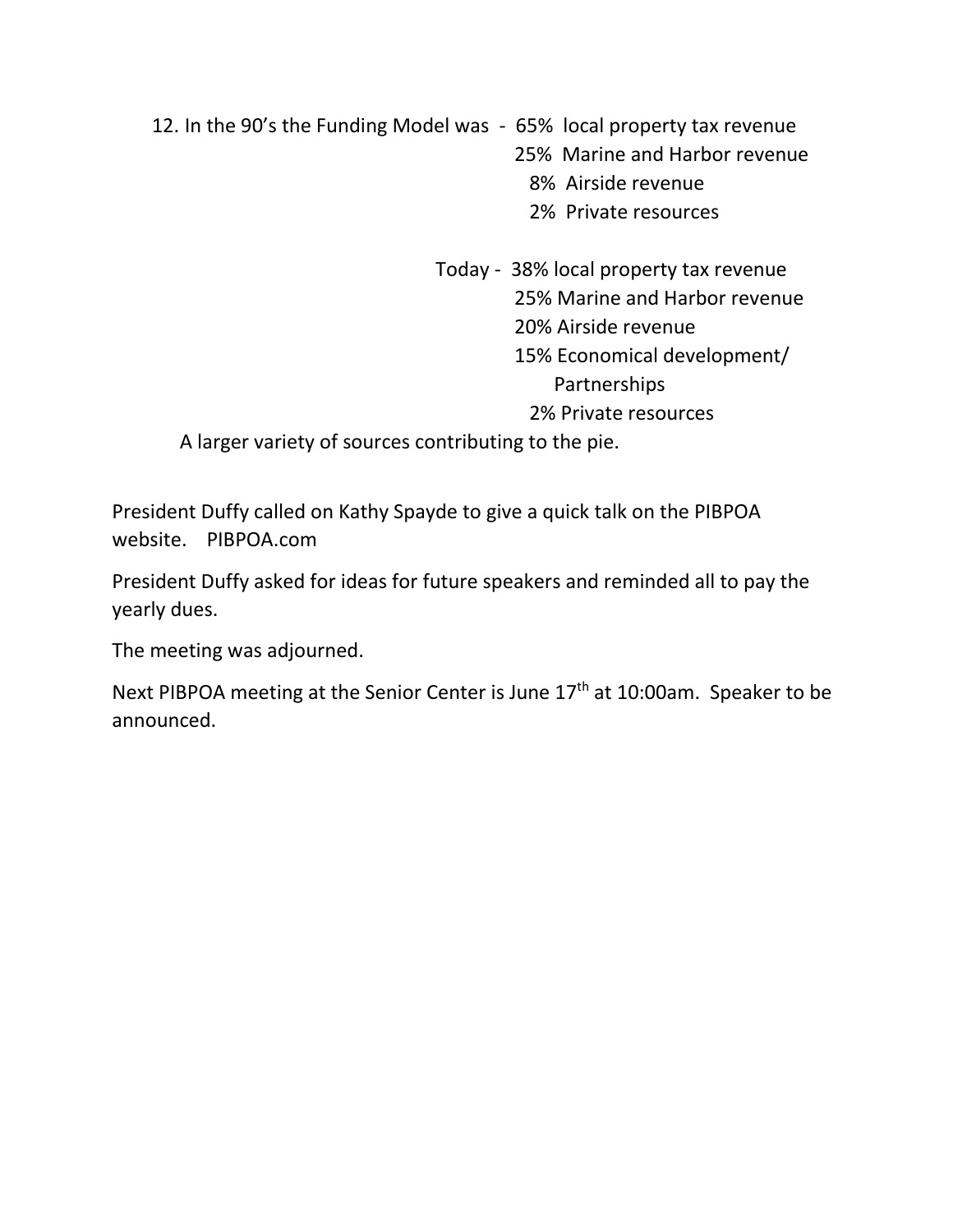12. In the 90's the Funding Model was - 65% local property tax revenue 25% Marine and Harbor revenue 8% Airside revenue 2% Private resources

> Today - 38% local property tax revenue 25% Marine and Harbor revenue 20% Airside revenue 15% Economical development/ Partnerships 2% Private resources

A larger variety of sources contributing to the pie.

President Duffy called on Kathy Spayde to give a quick talk on the PIBPOA website. PIBPOA.com

President Duffy asked for ideas for future speakers and reminded all to pay the yearly dues.

The meeting was adjourned.

Next PIBPOA meeting at the Senior Center is June 17<sup>th</sup> at 10:00am. Speaker to be announced.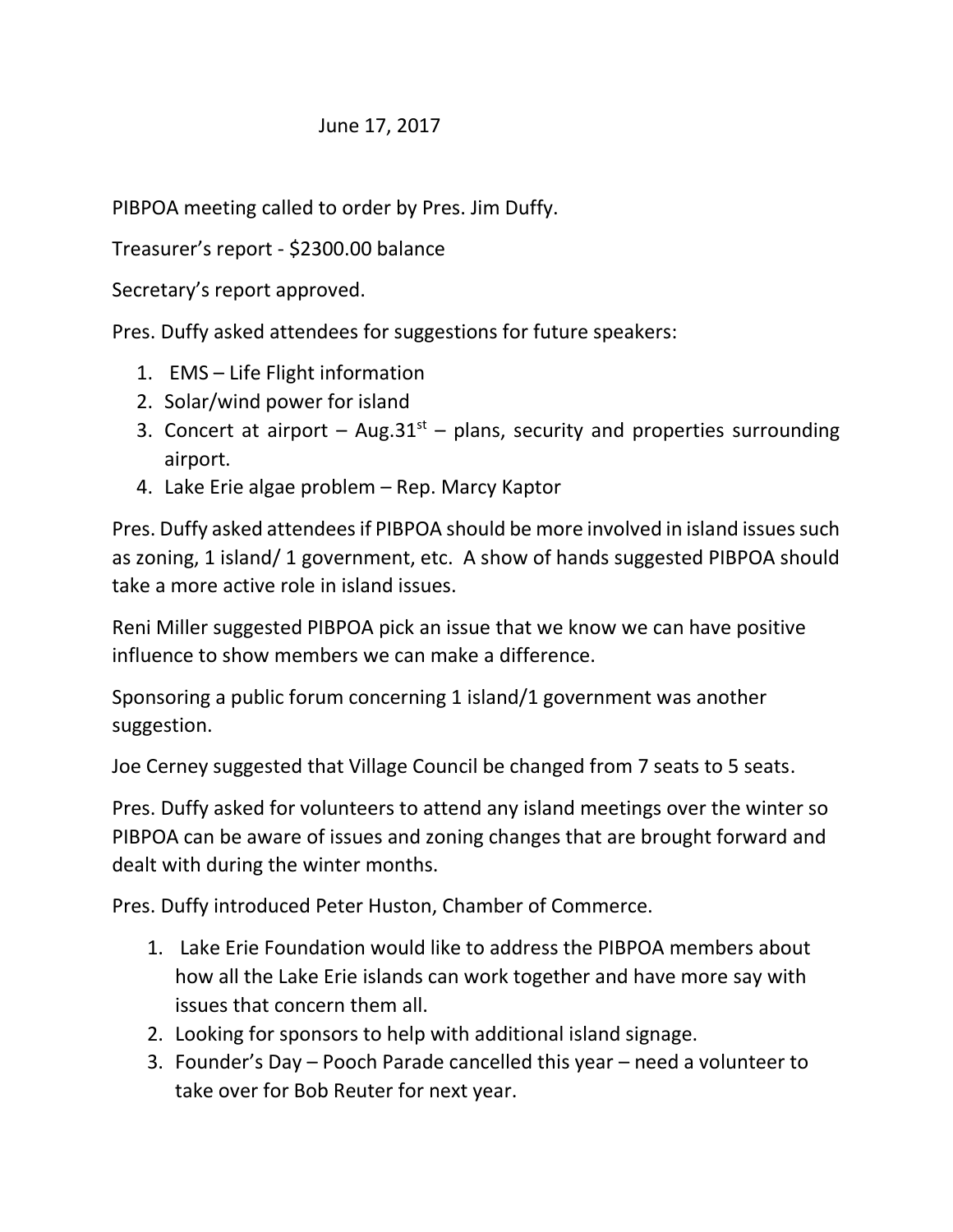# June 17, 2017

PIBPOA meeting called to order by Pres. Jim Duffy.

Treasurer's report - \$2300.00 balance

Secretary's report approved.

Pres. Duffy asked attendees for suggestions for future speakers:

- 1. EMS Life Flight information
- 2. Solar/wind power for island
- 3. Concert at airport Aug.31<sup>st</sup> plans, security and properties surrounding airport.
- 4. Lake Erie algae problem Rep. Marcy Kaptor

Pres. Duffy asked attendees if PIBPOA should be more involved in island issues such as zoning, 1 island/ 1 government, etc. A show of hands suggested PIBPOA should take a more active role in island issues.

Reni Miller suggested PIBPOA pick an issue that we know we can have positive influence to show members we can make a difference.

Sponsoring a public forum concerning 1 island/1 government was another suggestion.

Joe Cerney suggested that Village Council be changed from 7 seats to 5 seats.

Pres. Duffy asked for volunteers to attend any island meetings over the winter so PIBPOA can be aware of issues and zoning changes that are brought forward and dealt with during the winter months.

Pres. Duffy introduced Peter Huston, Chamber of Commerce.

- 1. Lake Erie Foundation would like to address the PIBPOA members about how all the Lake Erie islands can work together and have more say with issues that concern them all.
- 2. Looking for sponsors to help with additional island signage.
- 3. Founder's Day Pooch Parade cancelled this year need a volunteer to take over for Bob Reuter for next year.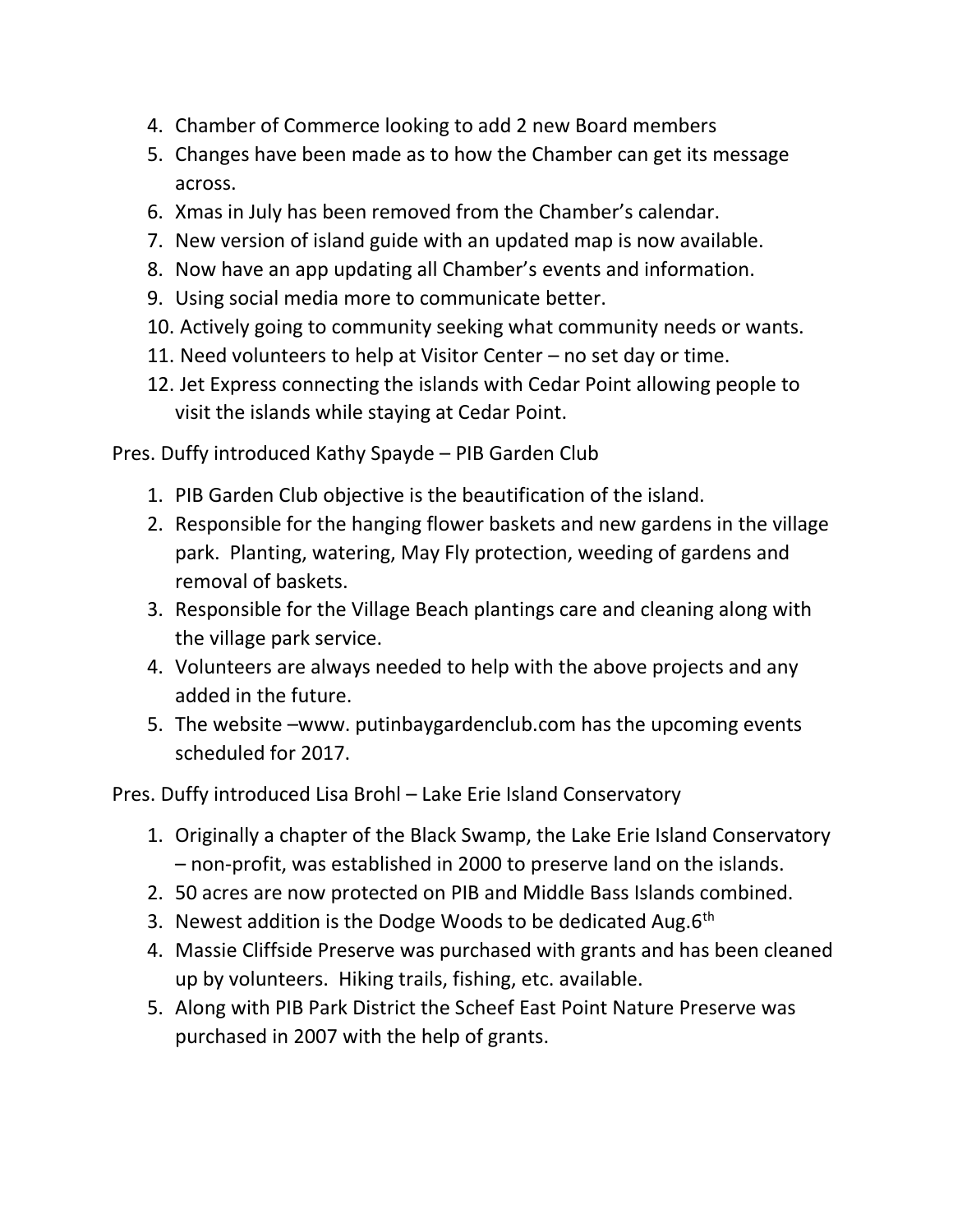- 4. Chamber of Commerce looking to add 2 new Board members
- 5. Changes have been made as to how the Chamber can get its message across.
- 6. Xmas in July has been removed from the Chamber's calendar.
- 7. New version of island guide with an updated map is now available.
- 8. Now have an app updating all Chamber's events and information.
- 9. Using social media more to communicate better.
- 10. Actively going to community seeking what community needs or wants.
- 11. Need volunteers to help at Visitor Center no set day or time.
- 12. Jet Express connecting the islands with Cedar Point allowing people to visit the islands while staying at Cedar Point.

Pres. Duffy introduced Kathy Spayde – PIB Garden Club

- 1. PIB Garden Club objective is the beautification of the island.
- 2. Responsible for the hanging flower baskets and new gardens in the village park. Planting, watering, May Fly protection, weeding of gardens and removal of baskets.
- 3. Responsible for the Village Beach plantings care and cleaning along with the village park service.
- 4. Volunteers are always needed to help with the above projects and any added in the future.
- 5. The website –www. putinbaygardenclub.com has the upcoming events scheduled for 2017.

Pres. Duffy introduced Lisa Brohl – Lake Erie Island Conservatory

- 1. Originally a chapter of the Black Swamp, the Lake Erie Island Conservatory – non-profit, was established in 2000 to preserve land on the islands.
- 2. 50 acres are now protected on PIB and Middle Bass Islands combined.
- 3. Newest addition is the Dodge Woods to be dedicated Aug. $6<sup>th</sup>$
- 4. Massie Cliffside Preserve was purchased with grants and has been cleaned up by volunteers. Hiking trails, fishing, etc. available.
- 5. Along with PIB Park District the Scheef East Point Nature Preserve was purchased in 2007 with the help of grants.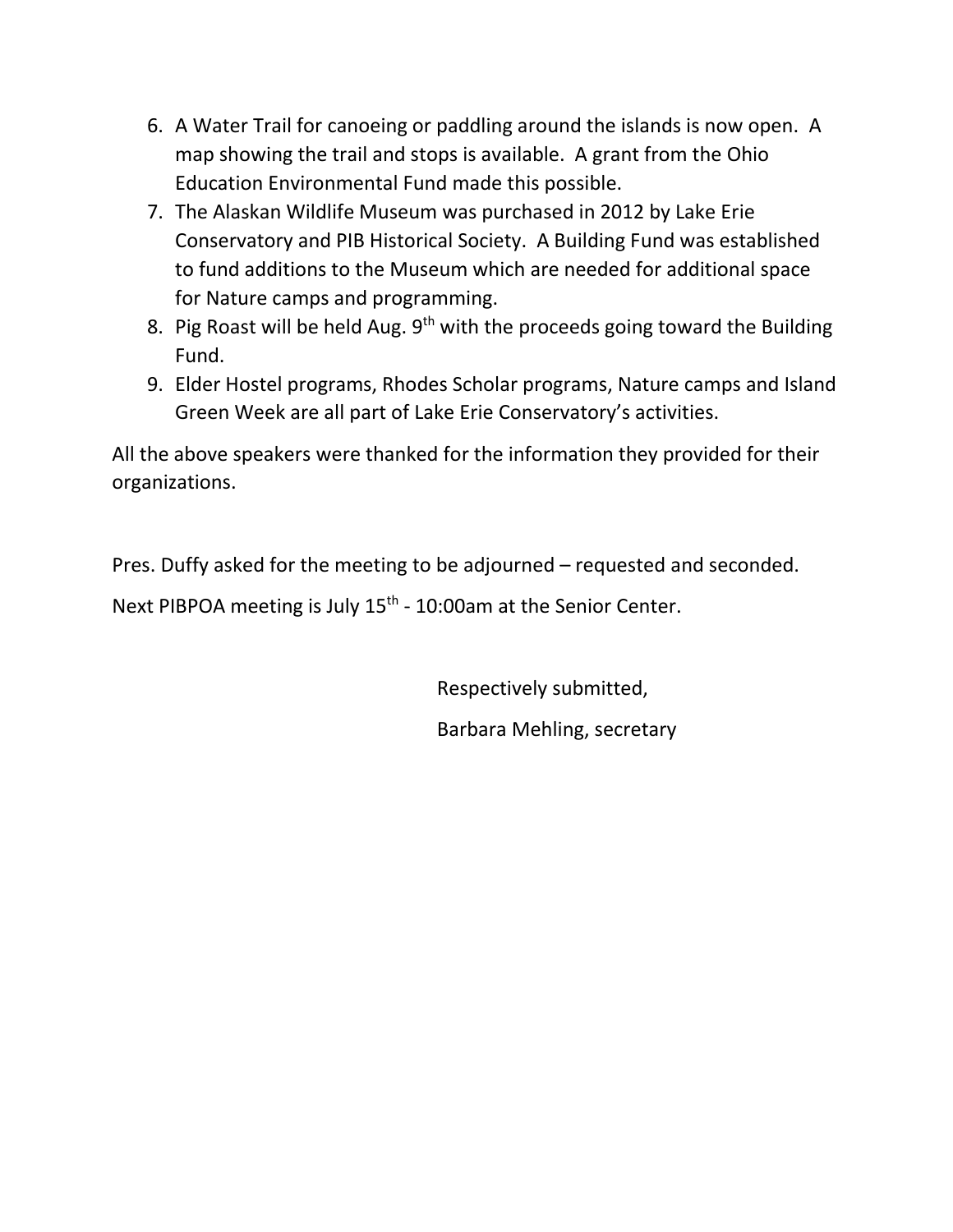- 6. A Water Trail for canoeing or paddling around the islands is now open. A map showing the trail and stops is available. A grant from the Ohio Education Environmental Fund made this possible.
- 7. The Alaskan Wildlife Museum was purchased in 2012 by Lake Erie Conservatory and PIB Historical Society. A Building Fund was established to fund additions to the Museum which are needed for additional space for Nature camps and programming.
- 8. Pig Roast will be held Aug. 9<sup>th</sup> with the proceeds going toward the Building Fund.
- 9. Elder Hostel programs, Rhodes Scholar programs, Nature camps and Island Green Week are all part of Lake Erie Conservatory's activities.

All the above speakers were thanked for the information they provided for their organizations.

Pres. Duffy asked for the meeting to be adjourned – requested and seconded.

Next PIBPOA meeting is July 15<sup>th</sup> - 10:00am at the Senior Center.

Respectively submitted,

Barbara Mehling, secretary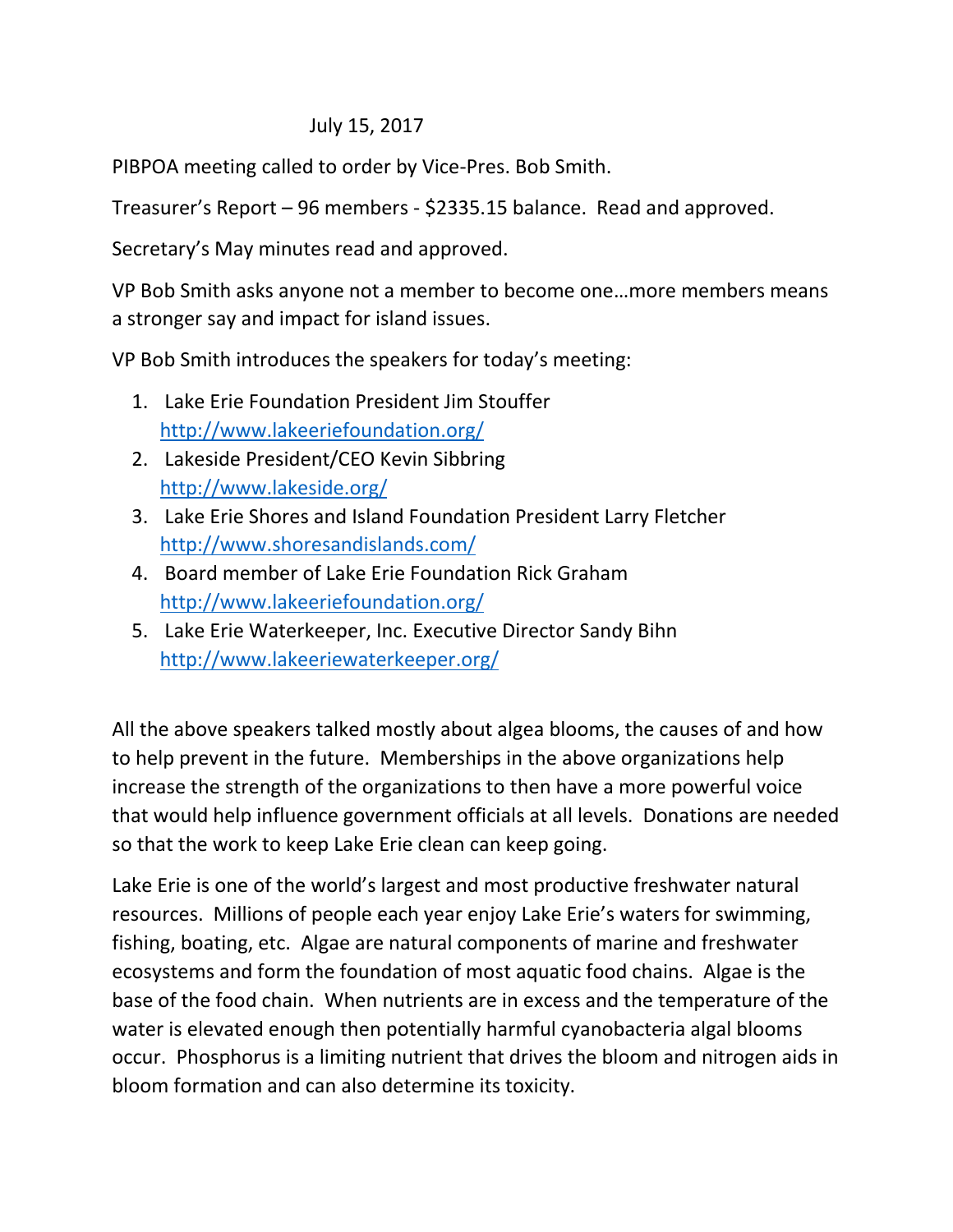# July 15, 2017

PIBPOA meeting called to order by Vice-Pres. Bob Smith.

Treasurer's Report – 96 members - \$2335.15 balance. Read and approved.

Secretary's May minutes read and approved.

VP Bob Smith asks anyone not a member to become one…more members means a stronger say and impact for island issues.

VP Bob Smith introduces the speakers for today's meeting:

- 1. Lake Erie Foundation President Jim Stouffer http://www.lakeeriefoundation.org/
- 2. Lakeside President/CEO Kevin Sibbring http://www.lakeside.org/
- 3. Lake Erie Shores and Island Foundation President Larry Fletcher http://www.shoresandislands.com/
- 4. Board member of Lake Erie Foundation Rick Graham http://www.lakeeriefoundation.org/
- 5. Lake Erie Waterkeeper, Inc. Executive Director Sandy Bihn http://www.lakeeriewaterkeeper.org/

All the above speakers talked mostly about algea blooms, the causes of and how to help prevent in the future. Memberships in the above organizations help increase the strength of the organizations to then have a more powerful voice that would help influence government officials at all levels. Donations are needed so that the work to keep Lake Erie clean can keep going.

Lake Erie is one of the world's largest and most productive freshwater natural resources. Millions of people each year enjoy Lake Erie's waters for swimming, fishing, boating, etc. Algae are natural components of marine and freshwater ecosystems and form the foundation of most aquatic food chains. Algae is the base of the food chain. When nutrients are in excess and the temperature of the water is elevated enough then potentially harmful cyanobacteria algal blooms occur. Phosphorus is a limiting nutrient that drives the bloom and nitrogen aids in bloom formation and can also determine its toxicity.